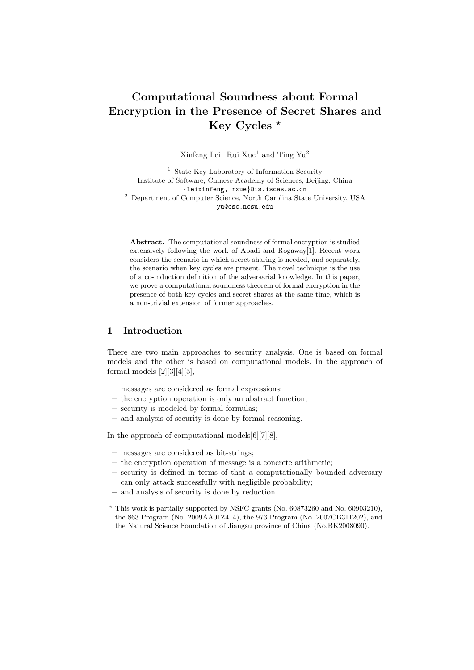# Computational Soundness about Formal Encryption in the Presence of Secret Shares and Key Cycles ★

Xinfeng Lei<sup>1</sup> Rui Xue<sup>1</sup> and Ting Yu<sup>2</sup>

 $^{\rm 1}$  State Key Laboratory of Information Security Institute of Software, Chinese Academy of Sciences, Beijing, China {leixinfeng, rxue}@is.iscas.ac.cn <sup>2</sup> Department of Computer Science, North Carolina State University, USA yu@csc.ncsu.edu

Abstract. The computational soundness of formal encryption is studied extensively following the work of Abadi and Rogaway[1]. Recent work considers the scenario in which secret sharing is needed, and separately, the scenario when key cycles are present. The novel technique is the use of a co-induction definition of the adversarial knowledge. In this paper, we prove a computational soundness theorem of formal encryption in the presence of both key cycles and secret shares at the same time, which is a non-trivial extension of former approaches.

## 1 Introduction

There are two main approaches to security analysis. One is based on formal models and the other is based on computational models. In the approach of formal models  $[2][3][4][5]$ ,

- messages are considered as formal expressions;
- the encryption operation is only an abstract function;
- security is modeled by formal formulas;
- and analysis of security is done by formal reasoning.

In the approach of computational models[6][7][8],

- messages are considered as bit-strings;
- the encryption operation of message is a concrete arithmetic;
- security is defined in terms of that a computationally bounded adversary can only attack successfully with negligible probability;
- and analysis of security is done by reduction.

<sup>★</sup> This work is partially supported by NSFC grants (No. 60873260 and No. 60903210), the 863 Program (No. 2009AA01Z414), the 973 Program (No. 2007CB311202), and the Natural Science Foundation of Jiangsu province of China (No.BK2008090).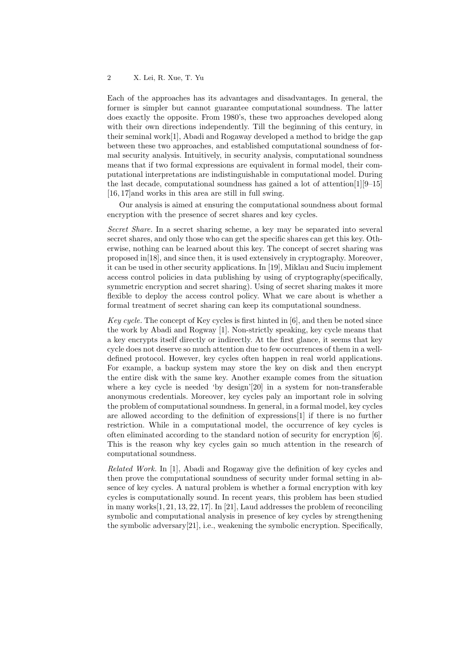Each of the approaches has its advantages and disadvantages. In general, the former is simpler but cannot guarantee computational soundness. The latter does exactly the opposite. From 1980's, these two approaches developed along with their own directions independently. Till the beginning of this century, in their seminal work[1], Abadi and Rogaway developed a method to bridge the gap between these two approaches, and established computational soundness of formal security analysis. Intuitively, in security analysis, computational soundness means that if two formal expressions are equivalent in formal model, their computational interpretations are indistinguishable in computational model. During the last decade, computational soundness has gained a lot of attention[1][9–15] [16, 17]and works in this area are still in full swing.

Our analysis is aimed at ensuring the computational soundness about formal encryption with the presence of secret shares and key cycles.

Secret Share. In a secret sharing scheme, a key may be separated into several secret shares, and only those who can get the specific shares can get this key. Otherwise, nothing can be learned about this key. The concept of secret sharing was proposed in[18], and since then, it is used extensively in cryptography. Moreover, it can be used in other security applications. In [19], Miklau and Suciu implement access control policies in data publishing by using of cryptography(specifically, symmetric encryption and secret sharing). Using of secret sharing makes it more flexible to deploy the access control policy. What we care about is whether a formal treatment of secret sharing can keep its computational soundness.

Key cycle. The concept of Key cycles is first hinted in [6], and then be noted since the work by Abadi and Rogway [1]. Non-strictly speaking, key cycle means that a key encrypts itself directly or indirectly. At the first glance, it seems that key cycle does not deserve so much attention due to few occurrences of them in a welldefined protocol. However, key cycles often happen in real world applications. For example, a backup system may store the key on disk and then encrypt the entire disk with the same key. Another example comes from the situation where a key cycle is needed 'by design'[20] in a system for non-transferable anonymous credentials. Moreover, key cycles paly an important role in solving the problem of computational soundness. In general, in a formal model, key cycles are allowed according to the definition of expressions[1] if there is no further restriction. While in a computational model, the occurrence of key cycles is often eliminated according to the standard notion of security for encryption [6]. This is the reason why key cycles gain so much attention in the research of computational soundness.

Related Work. In [1], Abadi and Rogaway give the definition of key cycles and then prove the computational soundness of security under formal setting in absence of key cycles. A natural problem is whether a formal encryption with key cycles is computationally sound. In recent years, this problem has been studied in many works[1, 21, 13, 22, 17]. In [21], Laud addresses the problem of reconciling symbolic and computational analysis in presence of key cycles by strengthening the symbolic adversary[21], i.e., weakening the symbolic encryption. Specifically,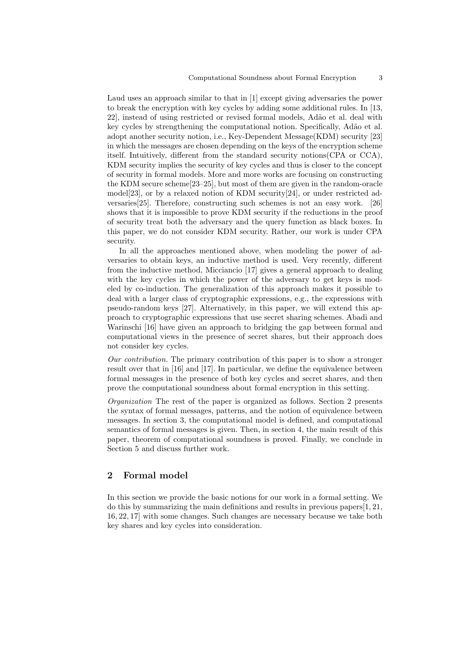Laud uses an approach similar to that in [1] except giving adversaries the power to break the encryption with key cycles by adding some additional rules. In [13, 22], instead of using restricted or revised formal models, Ad˜ao et al. deal with key cycles by strengthening the computational notion. Specifically, Ad˜ao et al. adopt another security notion, i.e., Key-Dependent Message(KDM) security [23] in which the messages are chosen depending on the keys of the encryption scheme itself. Intuitively, different from the standard security notions(CPA or CCA), KDM security implies the security of key cycles and thus is closer to the concept of security in formal models. More and more works are focusing on constructing the KDM secure scheme[23–25], but most of them are given in the random-oracle model[23], or by a relaxed notion of KDM security[24], or under restricted adversaries[25]. Therefore, constructing such schemes is not an easy work. [26] shows that it is impossible to prove KDM security if the reductions in the proof of security treat both the adversary and the query function as black boxes. In this paper, we do not consider KDM security. Rather, our work is under CPA security.

In all the approaches mentioned above, when modeling the power of adversaries to obtain keys, an inductive method is used. Very recently, different from the inductive method, Micciancio [17] gives a general approach to dealing with the key cycles in which the power of the adversary to get keys is modeled by co-induction. The generalization of this approach makes it possible to deal with a larger class of cryptographic expressions, e.g., the expressions with pseudo-random keys [27]. Alternatively, in this paper, we will extend this approach to cryptographic expressions that use secret sharing schemes. Abadi and Warinschi [16] have given an approach to bridging the gap between formal and computational views in the presence of secret shares, but their approach does not consider key cycles.

Our contribution. The primary contribution of this paper is to show a stronger result over that in [16] and [17]. In particular, we define the equivalence between formal messages in the presence of both key cycles and secret shares, and then prove the computational soundness about formal encryption in this setting.

Organization The rest of the paper is organized as follows. Section 2 presents the syntax of formal messages, patterns, and the notion of equivalence between messages. In section 3, the computational model is defined, and computational semantics of formal messages is given. Then, in section 4, the main result of this paper, theorem of computational soundness is proved. Finally, we conclude in Section 5 and discuss further work.

## 2 Formal model

In this section we provide the basic notions for our work in a formal setting. We do this by summarizing the main definitions and results in previous papers $[1, 21]$ , 16, 22, 17] with some changes. Such changes are necessary because we take both key shares and key cycles into consideration.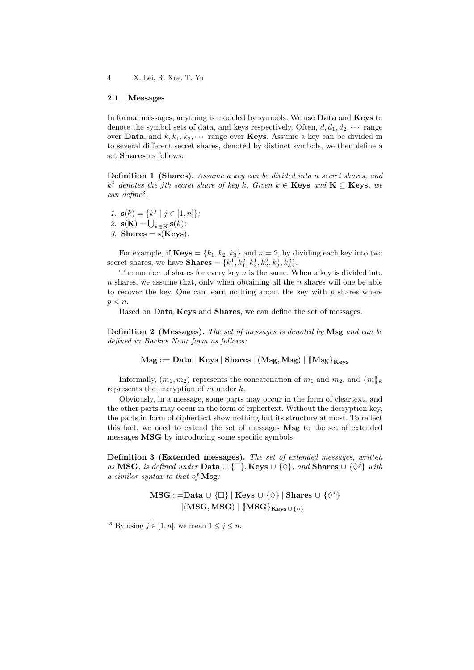### 2.1 Messages

In formal messages, anything is modeled by symbols. We use **Data** and **Keys** to denote the symbol sets of data, and keys respectively. Often,  $d, d_1, d_2, \cdots$  range over **Data**, and  $k, k_1, k_2, \cdots$  range over **Keys**. Assume a key can be divided in to several different secret shares, denoted by distinct symbols, we then define a set Shares as follows:

**Definition 1 (Shares).** Assume a key can be divided into n secret shares, and  $k^j$  denotes the jth secret share of key k. Given  $k \in \mathbf{Keys}$  and  $\mathbf{K} \subseteq \mathbf{Keys}$ , we can define<sup>3</sup> ,

- 1.  $\mathbf{s}(k) = \{k^j \mid j \in [1, n]\};$
- 2.  $\mathbf{s}(\mathbf{K}) = \bigcup_{k \in \mathbf{K}} \mathbf{s}(k);$
- 3. Shares  $= s(Keys)$ .

For example, if  $\mathbf{Keys} = \{k_1, k_2, k_3\}$  and  $n = 2$ , by dividing each key into two secret shares, we have **Shares** =  $\{k_1^1, k_1^2, k_2^1, k_2^2, k_3^1, k_3^2\}.$ 

The number of shares for every key  $n$  is the same. When a key is divided into  $n$  shares, we assume that, only when obtaining all the  $n$  shares will one be able to recover the key. One can learn nothing about the key with  $p$  shares where  $p < n$ .

Based on Data, Keys and Shares, we can define the set of messages.

Definition 2 (Messages). The set of messages is denoted by Msg and can be defined in Backus Naur form as follows:

 $Msg ::= Data | Keys | shares | (Msg, Mgg) | {Msg}$ <sub>Keys</sub>

Informally,  $(m_1, m_2)$  represents the concatenation of  $m_1$  and  $m_2$ , and  $\{m\}_k$ represents the encryption of  $m$  under  $k$ .

Obviously, in a message, some parts may occur in the form of cleartext, and the other parts may occur in the form of ciphertext. Without the decryption key, the parts in form of ciphertext show nothing but its structure at most. To reflect this fact, we need to extend the set of messages Msg to the set of extended messages MSG by introducing some specific symbols.

Definition 3 (Extended messages). The set of extended messages, written as MSG, is defined under Data  $\cup \{\Box\}$ , Keys  $\cup \{\Diamond\}$ , and Shares  $\cup \{\Diamond^j\}$  with a similar syntax to that of Msg:

> $\mathbf{MSG}::=\!\!\mathbf{Data} \cup \{\Box\} \mid \mathbf{Keys} \cup \{\Diamond\} \mid \mathbf{Shares} \cup \{\Diamond^j\}$  $|(MSG, MSG)| \{ |MSG| \}_{Kevs \cup \{\lozenge\}}$

<sup>&</sup>lt;sup>3</sup> By using  $j \in [1, n]$ , we mean  $1 \leq j \leq n$ .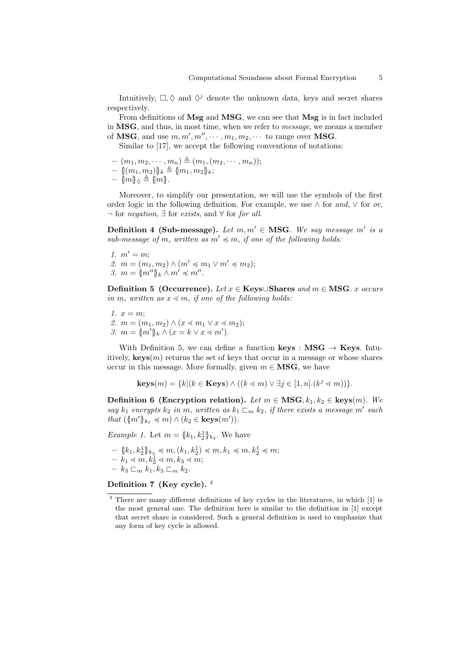Intuitively,  $\Box, \Diamond$  and  $\Diamond^j$  denote the unknown data, keys and secret shares respectively.

From definitions of Msg and MSG, we can see that Msg is in fact included in MSG, and thus, in most time, when we refer to message, we means a member of **MSG**, and use  $m, m', m'', \cdots, m_1, m_2, \cdots$  to range over **MSG**.

Similar to [17], we accept the following conventions of notations:

- $(m_1, m_2, \dots, m_n) \triangleq (m_1, (m_2, \dots, m_n));$
- $\{ (m_1, m_2) \}_k \triangleq \{ m_1, m_2 \}_k;$

$$
- \mathop{\{\|m\}}\nolimits_{\lozenge} \triangleq \mathop{\{m\}}\nolimits.
$$

Moreover, to simplify our presentation, we will use the symbols of the first order logic in the following definition. For example, we use  $\wedge$  for and,  $\vee$  for or,  $\neg$  for *negation*,  $\exists$  for *exists*, and  $\forall$  for *for all.* 

Definition 4 (Sub-message). Let  $m, m' \in \text{MSG}$ . We say message  $m'$  is a sub-message of m, written as  $m' \preccurlyeq m$ , if one of the following holds:

1.  $m' = m$ ; 2.  $m = (m_1, m_2) \wedge (m' \preccurlyeq m_1 \vee m' \preccurlyeq m_2);$ 3.  $m = \{m''\}_k \wedge m' \preccurlyeq m''$ .

Definition 5 (Occurrence). Let  $x \in \text{Keys} \cup \text{Shares}$  and  $m \in \text{MSG}$ .  $x$  occurs in m, written as  $x \leq m$ , if one of the following holds:

- 1.  $x = m$ ;
- 2.  $m = (m_1, m_2) \wedge (x \leq m_1 \vee x \leq m_2);$
- 3.  $m = \{m'\}_k \wedge (x = k \vee x \leq m')$ .

With Definition 5, we can define a function keys :  $\text{MSG} \rightarrow \text{Keys}$ . Intuitively,  $\textbf{keys}(m)$  returns the set of keys that occur in a message or whose shares occur in this message. More formally, given  $m \in \mathbf{MSG}$ , we have

$$
\mathbf{keys}(m) = \{k | (k \in \mathbf{Keys}) \land ((k \leq m) \lor \exists j \in [1, n] \cdot (k^j \leq m))\}.
$$

Definition 6 (Encryption relation). Let  $m \in \text{MSG}, k_1, k_2 \in \text{keys}(m)$ . We say  $k_1$  encrypts  $k_2$  in  $m$ , written as  $k_1 \subseteq_m k_2$ , if there exists a message  $m'$  such that  $({m'\}_{k_1} \preccurlyeq m) \wedge (k_2 \in \text{keys}(m')).$ 

*Example 1.* Let  $m = \{k_1, k_2\}$ <sub> $k_3$ </sub>. We have

- $\{k_1, k_2^1\}_{k_3} \leq m, (k_1, k_2^1) \leq m, k_1 \leq m, k_2^1 \leq m;$
- $k_1 \lessdot m, k_2 \lessdot m, k_3 \lessdot m;$
- $k_3 \sqsubset_m k_1, k_3 \sqsubset_m k_2.$

Definition 7 (Key cycle). <sup>4</sup>

<sup>4</sup> There are many different definitions of key cycles in the literatures, in which [1] is the most general one. The definition here is similar to the definition in [1] except that secret share is considered. Such a general definition is used to emphasize that any form of key cycle is allowed.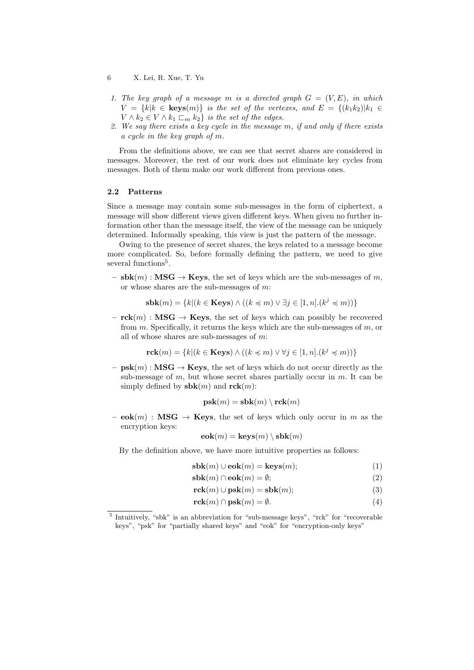- 6 X. Lei, R. Xue, T. Yu
- 1. The key graph of a message m is a directed graph  $G = (V, E)$ , in which  $V = \{k | k \in \text{keys}(m)\}\$ is the set of the vertexes, and  $E = \{(k_1 k_2) | k_1 \in$  $V \wedge k_2 \in V \wedge k_1 \sqsubset_m k_2$  is the set of the edges.
- 2. We say there exists a key cycle in the message  $m$ , if and only if there exists a cycle in the key graph of  $m$ .

From the definitions above, we can see that secret shares are considered in messages. Moreover, the rest of our work does not eliminate key cycles from messages. Both of them make our work different from previous ones.

## 2.2 Patterns

Since a message may contain some sub-messages in the form of ciphertext, a message will show different views given different keys. When given no further information other than the message itself, the view of the message can be uniquely determined. Informally speaking, this view is just the pattern of the message.

Owing to the presence of secret shares, the keys related to a message become more complicated. So, before formally defining the pattern, we need to give several functions<sup>5</sup>.

 $-$  sbk $(m)$ : MSG  $\rightarrow$  Keys, the set of keys which are the sub-messages of m. or whose shares are the sub-messages of  $m$ :

$$
\mathbf{sbk}(m) = \{k | (k \in \mathbf{Keys}) \land ((k \preccurlyeq m) \lor \exists j \in [1, n] . (k^j \preccurlyeq m))\}
$$

 $-$  **rck** $(m)$ : **MSG**  $\rightarrow$  **Keys**, the set of keys which can possibly be recovered from  $m$ . Specifically, it returns the keys which are the sub-messages of  $m$ , or all of whose shares are sub-messages of  $m$ :

$$
\mathbf{rck}(m) = \{k | (k \in \mathbf{Keys}) \land ((k \preccurlyeq m) \lor \forall j \in [1, n] \ldotp (k^j \preccurlyeq m))\}
$$

 $-$  psk $(m)$ : MSG  $\rightarrow$  Keys, the set of keys which do not occur directly as the sub-message of  $m$ , but whose secret shares partially occur in  $m$ . It can be simply defined by  $\mathbf{sbk}(m)$  and  $\mathbf{rck}(m)$ :

$$
\mathbf{psk}(m) = \mathbf{sbk}(m) \setminus \mathbf{rck}(m)
$$

 $-$  eok $(m)$ : MSG  $\rightarrow$  Keys, the set of keys which only occur in m as the encryption keys:

$$
eck(m) = keys(m) \setminus sbk(m)
$$

By the definition above, we have more intuitive properties as follows:

$$
sbk(m) \cup eok(m) = keys(m); \qquad (1)
$$

$$
sbk(m) \cap eok(m) = \emptyset;
$$
\n(2)

$$
rck(m) \cup psk(m) = sbk(m); \qquad (3)
$$

$$
\mathbf{rck}(m) \cap \mathbf{psk}(m) = \emptyset. \tag{4}
$$

<sup>&</sup>lt;sup>5</sup> Intuitively, "sbk" is an abbreviation for "sub-message keys", "rck" for "recoverable keys", "psk" for "partially shared keys" and "eok" for "encryption-only keys"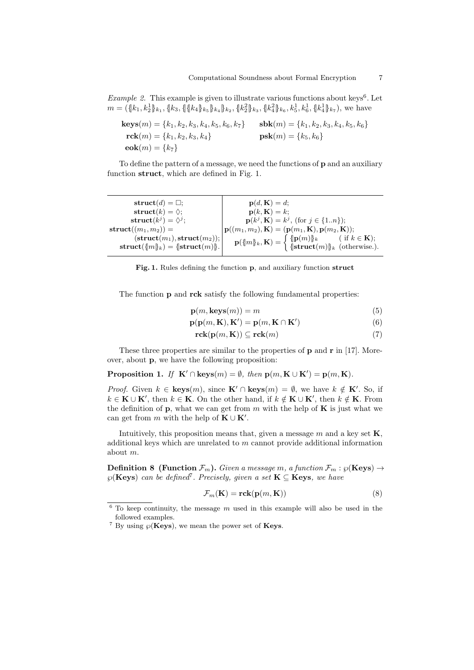*Example 2.* This example is given to illustrate various functions about keys<sup>6</sup>. Let  $m = (\{k_1, k_2^1\}_{k_1}, \{k_3, \{\{\{k_4\}\}_{k_5}\}_{k_4}\}_{k_2}, \{k_2^2\}_{k_3}, \{k_4^2\}_{k_6}, k_5^1, k_6^1, \{k_4^1\}_{k_7}),$  we have

$$
\begin{aligned}\n\text{keys}(m) &= \{k_1, k_2, k_3, k_4, k_5, k_6, k_7\} & \text{sbk}(m) &= \{k_1, k_2, k_3, k_4, k_5, k_6\} \\
\text{rck}(m) &= \{k_1, k_2, k_3, k_4\} & \text{psk}(m) &= \{k_5, k_6\} \\
\text{eok}(m) &= \{k_7\}\n\end{aligned}
$$

To define the pattern of a message, we need the functions of p and an auxiliary function struct, which are defined in Fig. 1.

| $\textbf{struct}(d) = \Box;$                                                                                  | $\mathbf{p}(d,\mathbf{K})=d;$                                                                                                                                               |
|---------------------------------------------------------------------------------------------------------------|-----------------------------------------------------------------------------------------------------------------------------------------------------------------------------|
| struct $(k) = \Diamond;$                                                                                      | $\mathbf{p}(k,\mathbf{K})=k$ ;                                                                                                                                              |
| struct $(k^{j}) = \Diamond^{j}$ ;                                                                             | $\mathbf{p}(k^j, \mathbf{K}) = k^j$ , (for $j \in \{1n\}$ );                                                                                                                |
| $struct(m_1, m_2)) =$                                                                                         | ${\bf p}((m_1,m_2),{\bf K}) = ({\bf p}(m_1,{\bf K}),{\bf p}(m_2,{\bf K}));$                                                                                                 |
| $(\textbf{struct}(m_1), \textbf{struct}(m_2)); \vert$<br>$\textbf{struct}(\{m\}_k) = \{\textbf{struct}(m)\}.$ | $\mathbf{p}(\{m\}_k, \mathbf{K}) = \begin{cases} {\  \mathbf{p}(m) \ _k} & (\text{ if } k \in \mathbf{K}); \\ {\ \textbf{struct}(m)\ _k} & (\text{otherwise}). \end{cases}$ |

Fig. 1. Rules defining the function p, and auxiliary function struct

The function **p** and **rck** satisfy the following fundamental properties:

$$
\mathbf{p}(m,\mathbf{keys}(m)) = m \tag{5}
$$

$$
\mathbf{p}(\mathbf{p}(m,\mathbf{K}),\mathbf{K}') = \mathbf{p}(m,\mathbf{K}\cap\mathbf{K}')
$$
\n(6)

$$
\mathbf{rck}(\mathbf{p}(m,\mathbf{K})) \subseteq \mathbf{rck}(m) \tag{7}
$$

These three properties are similar to the properties of  $\bf{p}$  and  $\bf{r}$  in [17]. Moreover, about p, we have the following proposition:

Proposition 1. If  $\mathbf{K}' \cap \text{keys}(m) = \emptyset$ , then  $\mathbf{p}(m, \mathbf{K} \cup \mathbf{K}') = \mathbf{p}(m, \mathbf{K})$ .

*Proof.* Given  $k \in \text{keys}(m)$ , since  $\mathbf{K}' \cap \text{keys}(m) = \emptyset$ , we have  $k \notin \mathbf{K}'$ . So, if  $k \in \mathbf{K} \cup \mathbf{K}'$ , then  $k \in \mathbf{K}$ . On the other hand, if  $k \notin \mathbf{K} \cup \mathbf{K}'$ , then  $k \notin \mathbf{K}$ . From the definition of  $\bf{p}$ , what we can get from m with the help of  $\bf{K}$  is just what we can get from  $m$  with the help of  $\mathbf{K} \cup \mathbf{K}'$ .

Intuitively, this proposition means that, given a message  $m$  and a key set  $\mathbf{K}$ , additional keys which are unrelated to  $m$  cannot provide additional information about m.

**Definition 8** (Function  $\mathcal{F}_m$ ). Given a message m, a function  $\mathcal{F}_m$ :  $\wp$ (Keys)  $\rightarrow$  $\wp(\mathbf{Keys})$  can be defined<sup>7</sup>. Precisely, given a set  $\mathbf{K} \subseteq \mathbf{Keys}$ , we have

$$
\mathcal{F}_m(\mathbf{K}) = \mathbf{rck}(\mathbf{p}(m, \mathbf{K}))
$$
\n(8)

 $6$  To keep continuity, the message  $m$  used in this example will also be used in the followed examples.

<sup>&</sup>lt;sup>7</sup> By using  $\wp(\mathbf{Keys})$ , we mean the power set of **Keys**.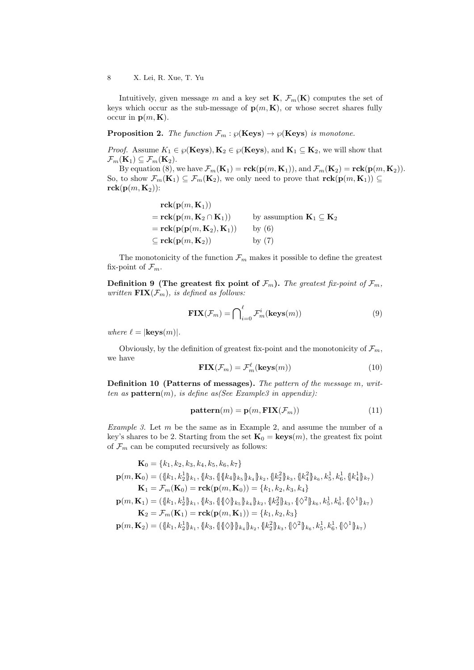Intuitively, given message  $m$  and a key set  $\mathbf{K}, \mathcal{F}_m(\mathbf{K})$  computes the set of keys which occur as the sub-message of  $p(m, K)$ , or whose secret shares fully occur in  $\mathbf{p}(m, \mathbf{K})$ .

**Proposition 2.** The function  $\mathcal{F}_m$ :  $\wp(\text{Keys}) \to \wp(\text{Keys})$  is monotone.

*Proof.* Assume  $K_1 \in \wp(\mathbf{Keys}), \mathbf{K}_2 \in \wp(\mathbf{Keys}),$  and  $\mathbf{K}_1 \subseteq \mathbf{K}_2$ , we will show that  $\mathcal{F}_m(\mathbf{K}_1) \subseteq \mathcal{F}_m(\mathbf{K}_2).$ 

By equation (8), we have  $\mathcal{F}_m(\mathbf{K}_1) = \text{rck}(\mathbf{p}(m, \mathbf{K}_1)),$  and  $\mathcal{F}_m(\mathbf{K}_2) = \text{rck}(\mathbf{p}(m, \mathbf{K}_2)).$ So, to show  $\mathcal{F}_m(\mathbf{K}_1) \subseteq \mathcal{F}_m(\mathbf{K}_2)$ , we only need to prove that  $\mathbf{rck}(\mathbf{p}(m,\mathbf{K}_1)) \subseteq$  $rck(p(m, K_2))$ :

$$
\begin{aligned}\n\mathbf{rck}(\mathbf{p}(m, \mathbf{K}_1)) \\
&= \mathbf{rck}(\mathbf{p}(m, \mathbf{K}_2 \cap \mathbf{K}_1)) & \text{by assumption } \mathbf{K}_1 \subseteq \mathbf{K}_2 \\
&= \mathbf{rck}(\mathbf{p}(\mathbf{p}(m, \mathbf{K}_2), \mathbf{K}_1)) & \text{by (6)} \\
&\subseteq \mathbf{rck}(\mathbf{p}(m, \mathbf{K}_2)) & \text{by (7)}\n\end{aligned}
$$

The monotonicity of the function  $\mathcal{F}_m$  makes it possible to define the greatest fix-point of  $\mathcal{F}_m$ .

Definition 9 (The greatest fix point of  $\mathcal{F}_m$ ). The greatest fix-point of  $\mathcal{F}_m$ , written  $\text{FIN}(\mathcal{F}_m)$ , is defined as follows:

$$
\mathbf{FIX}(\mathcal{F}_m) = \bigcap_{i=0}^{\ell} \mathcal{F}_m^i(\mathbf{keys}(m))
$$
\n(9)

where  $\ell = |\mathbf{keys}(m)|$ .

Obviously, by the definition of greatest fix-point and the monotonicity of  $\mathcal{F}_m$ , we have

$$
\mathbf{FIX}(\mathcal{F}_m) = \mathcal{F}_m^{\ell}(\mathbf{keys}(m))
$$
\n(10)

**Definition 10 (Patterns of messages).** The pattern of the message  $m$ , written as  $pattern(m)$ , is define as(See Example3 in appendix):

$$
pattern(m) = p(m, \text{FIX}(\mathcal{F}_m))
$$
\n(11)

*Example 3.* Let  $m$  be the same as in Example 2, and assume the number of a key's shares to be 2. Starting from the set  $\mathbf{K}_0 = \text{keys}(m)$ , the greatest fix point of  $\mathcal{F}_m$  can be computed recursively as follows:

$$
\mathbf{K}_{0} = \{k_{1}, k_{2}, k_{3}, k_{4}, k_{5}, k_{6}, k_{7}\}
$$
\n
$$
\mathbf{p}(m, \mathbf{K}_{0}) = (\{k_{1}, k_{2}^{1}\}_{k_{1}}, \{k_{3}, \{\{\{k_{4}\}\}_{k_{5}}\}_{k_{4}}\}_{k_{2}}, \{k_{2}^{2}\}_{k_{3}}, \{k_{4}^{2}\}_{k_{6}}, k_{5}^{1}, k_{6}^{1}, \{\{k_{4}^{1}\}\}_{k_{7}})
$$
\n
$$
\mathbf{K}_{1} = \mathcal{F}_{m}(\mathbf{K}_{0}) = \mathbf{rck}(\mathbf{p}(m, \mathbf{K}_{0})) = \{k_{1}, k_{2}, k_{3}, k_{4}\}
$$
\n
$$
\mathbf{p}(m, \mathbf{K}_{1}) = (\{k_{1}, k_{2}^{1}\}_{k_{1}}, \{k_{3}, \{\{\{\}\}\}_{k_{5}\}_{k_{4}}\}_{k_{2}}, \{k_{2}^{2}\}_{k_{3}}, \{\{\Diamond^{2}\}_{k_{6}}, k_{5}^{1}, k_{6}^{1}, \{\Diamond^{1}\}_{k_{7}})
$$
\n
$$
\mathbf{K}_{2} = \mathcal{F}_{m}(\mathbf{K}_{1}) = \mathbf{rck}(\mathbf{p}(m, \mathbf{K}_{1})) = \{k_{1}, k_{2}, k_{3}\}
$$
\n
$$
\mathbf{p}(m, \mathbf{K}_{2}) = (\{k_{1}, k_{2}^{1}\}_{k_{1}}, \{k_{3}, \{\{\}\}\})_{k_{4}}\}_{k_{2}}, \{k_{2}^{2}\}_{k_{3}}, \{\Diamond^{2}\}_{k_{6}}, k_{5}^{1}, k_{6}^{1}, \{\Diamond^{1}\}_{k_{7}})
$$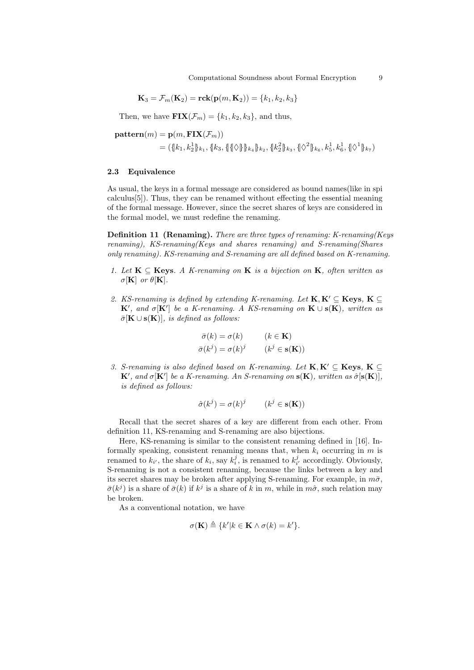$$
\mathbf{K}_3 = \mathcal{F}_m(\mathbf{K}_2) = \mathbf{rck}(\mathbf{p}(m, \mathbf{K}_2)) = \{k_1, k_2, k_3\}
$$

Then, we have  $\textbf{FIX}(\mathcal{F}_m) = \{k_1, k_2, k_3\}$ , and thus,

$$
\begin{aligned} \mathbf{pattern}(m) &= \mathbf{p}(m, \mathbf{FIX}(\mathcal{F}_m)) \\ &= (\{\!k_1, k_2^1\}_{k_1}, \{\!k_3, \{\!\|\Diamond\!\|\}\!\}_{k_4}\}_{k_2}, \{\!\|k_2^2\}_{k_3}, \{\!\|\Diamond^2\!\|\}_{k_6}, k_5^1, k_6^1, \{\!\|\Diamond^1\!\|\}_{k_7}) \end{aligned}
$$

### 2.3 Equivalence

As usual, the keys in a formal message are considered as bound names(like in spi calculus[5]). Thus, they can be renamed without effecting the essential meaning of the formal message. However, since the secret shares of keys are considered in the formal model, we must redefine the renaming.

Definition 11 (Renaming). There are three types of renaming: K-renaming(Keys renaming), KS-renaming(Keys and shares renaming) and S-renaming(Shares only renaming). KS-renaming and S-renaming are all defined based on K-renaming.

- 1. Let  $K \subseteq \text{Keys. } A$  K-renaming on K is a bijection on K, often written as  $\sigma$ [**K**] or  $\theta$ [**K**].
- 2. KS-renaming is defined by extending K-renaming. Let  $K, K' \subseteq \mathbf{Keys}, K \subseteq$  $\mathbf{K}'$ , and  $\sigma[\mathbf{K}']$  be a K-renaming. A KS-renaming on  $\mathbf{K} \cup \mathbf{s}(\mathbf{K})$ , written as  $\bar{\sigma}[\mathbf{K} \cup \mathbf{s}(\mathbf{K})]$ , is defined as follows:

$$
\bar{\sigma}(k) = \sigma(k) \qquad (k \in \mathbf{K})
$$
  

$$
\bar{\sigma}(k^{j}) = \sigma(k)^{j} \qquad (k^{j} \in \mathbf{s}(\mathbf{K}))
$$

3. S-renaming is also defined based on K-renaming. Let  $K, K' \subseteq \mathbf{Keys}, K \subseteq$  $\mathbf{K}'$ , and  $\sigma[\mathbf{K}']$  be a K-renaming. An S-renaming on  $\mathbf{s}(\mathbf{K})$ , written as  $\hat{\sigma}[\mathbf{s}(\mathbf{K})]$ , is defined as follows:

$$
\hat{\sigma}(k^j) = \sigma(k)^j \qquad (k^j \in \mathbf{s}(\mathbf{K}))
$$

Recall that the secret shares of a key are different from each other. From definition 11, KS-renaming and S-renaming are also bijections.

Here, KS-renaming is similar to the consistent renaming defined in [16]. Informally speaking, consistent renaming means that, when  $k_i$  occurring in  $m$  is renamed to  $k_{i'}$ , the share of  $k_i$ , say  $k_i^j$ , is renamed to  $k_{i'}^j$  accordingly. Obviously, S-renaming is not a consistent renaming, because the links between a key and its secret shares may be broken after applying S-renaming. For example, in  $m\bar{\sigma}$ ,  $\bar{\sigma}(k^j)$  is a share of  $\bar{\sigma}(k)$  if  $k^j$  is a share of k in m, while in  $m\hat{\sigma}$ , such relation may be broken.

As a conventional notation, we have

$$
\sigma(\mathbf{K}) \triangleq \{k'|k \in \mathbf{K} \wedge \sigma(k) = k'\}.
$$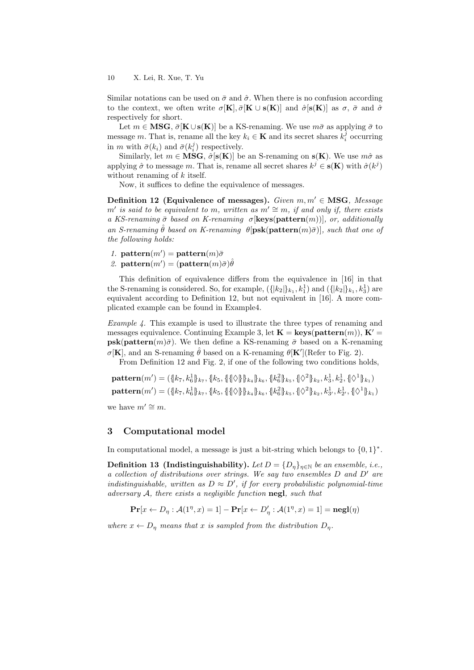Similar notations can be used on  $\bar{\sigma}$  and  $\hat{\sigma}$ . When there is no confusion according to the context, we often write  $\sigma[K], \bar{\sigma}[K \cup s(K)]$  and  $\hat{\sigma}[s(K)]$  as  $\sigma$ ,  $\bar{\sigma}$  and  $\hat{\sigma}$ respectively for short.

Let  $m \in \mathbf{MSG}, \overline{\sigma}[\mathbf{K} \cup \mathbf{s}(\mathbf{K})]$  be a KS-renaming. We use  $m\overline{\sigma}$  as applying  $\overline{\sigma}$  to message *m*. That is, rename all the key  $k_i \in \mathbf{K}$  and its secret shares  $k_i^j$  occurring in *m* with  $\bar{\sigma}(k_i)$  and  $\bar{\sigma}(k_i^j)$  respectively.

Similarly, let  $m \in \mathbf{MSG}$ ,  $\hat{\sigma}[\mathbf{s}(\mathbf{K})]$  be an S-renaming on  $\mathbf{s}(\mathbf{K})$ . We use  $m\hat{\sigma}$  as applying  $\hat{\sigma}$  to message m. That is, rename all secret shares  $k^j \in \mathbf{s}(\mathbf{K})$  with  $\hat{\sigma}(k^j)$ without renaming of  $k$  itself.

Now, it suffices to define the equivalence of messages.

Definition 12 (Equivalence of messages). Given  $m, m' \in \text{MSG}$ , Message  $m'$  is said to be equivalent to  $m$ , written as  $m' \cong m$ , if and only if, there exists a KS-renaming  $\bar{\sigma}$  based on K-renaming  $\sigma$ [**keys**(pattern(m))], or, additionally an S-renaming  $\hat{\theta}$  based on K-renaming  $\theta$ [psk(pattern $(m)\bar{\sigma}$ ]], such that one of the following holds:

- 1. pattern $(m') =$ pattern $(m)\bar{\sigma}$
- 2. pattern $(m') = (\text{pattern}(m)\bar{\sigma})\hat{\theta}$

This definition of equivalence differs from the equivalence in [16] in that the S-renaming is considered. So, for example,  $({\{|k_2|\}}_{k_1}, k_1^1)$  and  $({\{|k_2|\}}_{k_1}, k_3^1)$  are equivalent according to Definition 12, but not equivalent in [16]. A more complicated example can be found in Example4.

Example 4. This example is used to illustrate the three types of renaming and messages equivalence. Continuing Example 3, let  $\mathbf{K} = \textbf{keys}(\textbf{pattern}(m)), \mathbf{K}' =$  $psk(pattern(m)\bar{\sigma})$ . We then define a KS-renaming  $\bar{\sigma}$  based on a K-renaming  $\sigma[\mathbf{K}]$ , and an S-renaming  $\hat{\theta}$  based on a K-renaming  $\theta[\mathbf{K}']$ (Refer to Fig. 2).

From Definition 12 and Fig. 2, if one of the following two conditions holds,

 $\mathbf{pattern}(m')=(\{[k_7,k_6^1]\}_{k_7}, \{[k_5,\{\|\Diamond\}]\}_{k_4}\}_{k_6}, \{[k_6^2]\}_{k_5}, \{\Diamond^2\}_{k_2}, k_3^1, k_2^1, \{\Diamond^1\}_{k_1})$  $\mathbf{pattern}(m')=(\{[k_7,k_6^1]\}_{k_7},\{[k_5,\{\{\}\}_{k_4}\}_{k_6},\{[k_6^2]\}_{k_5},\{\{\lozenge^2\}_{k_2},k_3^1,k_2^1\},\{\lozenge^1\}_{k_1})$ we have  $m' \cong m$ .

## 3 Computational model

In computational model, a message is just a bit-string which belongs to  $\{0,1\}^*$ .

**Definition 13 (Indistinguishability).** Let  $D = \{D_{\eta}\}_{{\eta \in \mathbb{N}}}$  be an ensemble, i.e., a collection of distributions over strings. We say two ensembles  $D$  and  $D'$  are indistinguishable, written as  $D \approx D'$ , if for every probabilistic polynomial-time adversary  $A$ , there exists a negligible function negl, such that

$$
\mathbf{Pr}[x \leftarrow D_{\eta} : \mathcal{A}(1^{\eta}, x) = 1] - \mathbf{Pr}[x \leftarrow D'_{\eta} : \mathcal{A}(1^{\eta}, x) = 1] = \mathbf{negl}(\eta)
$$

where  $x \leftarrow D_{\eta}$  means that x is sampled from the distribution  $D_{\eta}$ .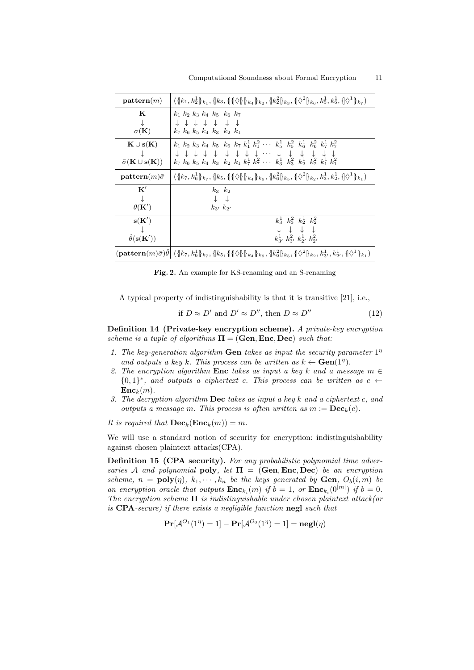| pattern(m)                                             | $({\lbrace k_1, k_2^1 \rbrace_{k_1}, \lbrace k_3, \lbrace \lbrace \rbrace \rbrace \rbrace \rbrace_{k_4} \rbrace_{k_2}, {\lbrace k_2^2 \rbrace_{k_3}, \lbrace \rbrace \Diamond^2 \rbrace_{k_6}, k_5^1, k_6^1, {\lbrace \rbrace \Diamond^1 \rbrace_{k_7}})$                                                                                                                             |
|--------------------------------------------------------|---------------------------------------------------------------------------------------------------------------------------------------------------------------------------------------------------------------------------------------------------------------------------------------------------------------------------------------------------------------------------------------|
| K                                                      | $k_1$ $k_2$ $k_3$ $k_4$ $k_5$ $k_6$ $k_7$                                                                                                                                                                                                                                                                                                                                             |
| ↓                                                      | + + + + + + +                                                                                                                                                                                                                                                                                                                                                                         |
| $\sigma({\bf K})$                                      | $k_7$ $k_6$ $k_5$ $k_4$ $k_3$ $k_2$ $k_1$                                                                                                                                                                                                                                                                                                                                             |
| $\mathbf{K} \cup \mathbf{s}(\mathbf{K})$               | $k_1$ $k_2$ $k_3$ $k_4$ $k_5$ $k_6$ $k_7$ $k_1^1$ $k_1^2$ $\cdots$ $k_5^1$ $k_5^2$ $k_6^1$ $k_6^2$ $k_7^1$ $k_7^2$                                                                                                                                                                                                                                                                    |
| $\downarrow$                                           |                                                                                                                                                                                                                                                                                                                                                                                       |
| $\bar{\sigma}(\mathbf{K} \cup \mathbf{s}(\mathbf{K}))$ | $\downarrow \quad \downarrow \quad \downarrow \quad \downarrow \quad \downarrow \quad \downarrow \quad \downarrow \quad \downarrow \cdots \quad \downarrow \quad \downarrow \quad \downarrow \quad \downarrow \quad \downarrow \quad \downarrow$<br>$k_7 \; k_6 \; k_5 \; k_4 \; k_3 \; k_2 \; k_1 \; k_7^1 \; k_7^2 \; \cdots \; k_3^1 \; k_3^2 \; k_2^1 \; k_2^2 \; k_1^1 \; k_1^2$ |
| $\mathbf{pattern}(m)\bar{\sigma}$                      | $(\{k_7, k_6^1\}_{k_7}, \{k_5, \{\{\}\Diamond\}\}_{k_4}\}_{k_6}, \{k_6^2\}_{k_5}, \{\Diamond^2\}_{k_2}, k_3^1, k_2^1, \{\Diamond^1\}_{k_1})$                                                                                                                                                                                                                                          |
| $\mathbf{K}^{\prime}$                                  | $k_3$ $k_2$                                                                                                                                                                                                                                                                                                                                                                           |
| $\downarrow$                                           | $\downarrow$ $\downarrow$                                                                                                                                                                                                                                                                                                                                                             |
| $\theta(\mathbf{K}')$                                  | $k_{3'}\,k_{2'}$                                                                                                                                                                                                                                                                                                                                                                      |
| s(K')                                                  | $k_3^1$ $k_3^2$ $k_2^1$ $k_2^2$                                                                                                                                                                                                                                                                                                                                                       |
| $\downarrow$                                           | $\begin{array}{ccccccccccccc} \downarrow & \downarrow & \downarrow & \downarrow & \downarrow & \end{array}$                                                                                                                                                                                                                                                                           |
| $\hat{\theta}(\mathbf{s}(\mathbf{K}'))$                | $k_{3}^{1}$ , $k_{3}^{2}$ , $k_{2}^{1}$ , $k_{2}^{2}$ ,                                                                                                                                                                                                                                                                                                                               |
|                                                        | $(\textbf{pattern}(m)\bar{\sigma})\theta \vert \ (\{\vert k_7, k_6^1\vert\}_{k_7}, \{\vert k_5, \{\vert \{\Diamond \vert\}\vert\}_{k_4}\}_{k_6}, \{\vert k_6^2\vert\}_{k_5}, \{\vert \Diamond^2 \vert\}_{k_2}, k_3^1, k_2^1, \{\vert \Diamond^1 \vert\}_{k_1})$                                                                                                                       |

Fig. 2. An example for KS-renaming and an S-renaming

A typical property of indistinguishability is that it is transitive [21], i.e.,

if 
$$
D \approx D'
$$
 and  $D' \approx D''$ , then  $D \approx D''$  (12)

Definition 14 (Private-key encryption scheme). A private-key encryption scheme is a tuple of algorithms  $\Pi = (Gen, Enc, Dec)$  such that:

- 1. The key-generation algorithm **Gen** takes as input the security parameter  $1<sup>\eta</sup>$ and outputs a key k. This process can be written as  $k \leftarrow \textbf{Gen}(1^{\eta})$ .
- 2. The encryption algorithm Enc takes as input a key k and a message  $m \in$  ${0,1}^*$ , and outputs a ciphertext c. This process can be written as  $c \leftarrow$  $\mathbf{Enc}_k(m)$ .
- 3. The decryption algorithm **Dec** takes as input a key  $k$  and a ciphertext c, and outputs a message m. This process is often written as  $m := \mathbf{Dec}_k(c)$ .

It is required that  $\mathbf{Dec}_k(\mathbf{Enc}_k(m)) = m$ .

We will use a standard notion of security for encryption: indistinguishability against chosen plaintext attacks(CPA).

Definition 15 (CPA security). For any probabilistic polynomial time adversaries A and polynomial poly, let  $\Pi = (Gen, Enc, Dec)$  be an encryption scheme,  $n = \text{poly}(\eta), k_1, \cdots, k_n$  be the keys generated by Gen,  $O_b(i,m)$  be an encryption oracle that outputs  $\mathbf{Enc}_{k_i}(m)$  if  $b = 1$ , or  $\mathbf{Enc}_{k_i}(0^{|m|})$  if  $b = 0$ . The encryption scheme  $\Pi$  is indistinguishable under chosen plaintext attack(or is CPA-secure) if there exists a negligible function negl such that

$$
\mathbf{Pr}[\mathcal{A}^{O_1}(1^\eta) = 1] - \mathbf{Pr}[\mathcal{A}^{O_0}(1^\eta) = 1] = \mathbf{negl}(\eta)
$$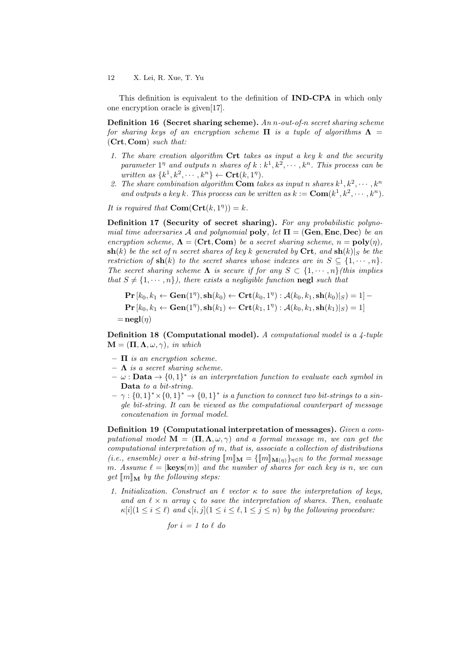This definition is equivalent to the definition of IND-CPA in which only one encryption oracle is given[17].

**Definition 16 (Secret sharing scheme).** An *n*-out-of-*n* secret sharing scheme for sharing keys of an encryption scheme  $\Pi$  is a tuple of algorithms  $\Lambda$  = (Crt, Com) such that:

- 1. The share creation algorithm  $\mathbf{Crt}$  takes as input a key k and the security parameter  $1^{\eta}$  and outputs n shares of  $k : k^1, k^2, \cdots, k^n$ . This process can be written as  $\{k^1, k^2, \dots, k^n\} \leftarrow \mathbf{Crt}(k, 1^n)$ .
- 2. The share combination algorithm Com takes as input n shares  $k^1, k^2, \cdots, k^n$ and outputs a key k. This process can be written as  $k := \text{Com}(k^1, k^2, \dots, k^n)$ .

It is required that  $\text{Com}(\text{Crt}(k, 1^n)) = k$ .

Definition 17 (Security of secret sharing). For any probabilistic polynomial time adversaries A and polynomial poly, let  $\Pi = (\text{Gen}, \text{Enc}, \text{Dec})$  be an encryption scheme,  $\Lambda = (\mathbf{Crt}, \mathbf{Com})$  be a secret sharing scheme,  $n = \text{poly}(\eta)$ ,  $\mathbf{sh}(k)$  be the set of n secret shares of key k generated by Crt, and  $\mathbf{sh}(k)|_S$  be the restriction of  $\mathbf{sh}(k)$  to the secret shares whose indexes are in  $S \subseteq \{1, \dots, n\}.$ The secret sharing scheme  $\Lambda$  is secure if for any  $S \subset \{1, \dots, n\}$ (this implies that  $S \neq \{1, \dots, n\}$ , there exists a negligible function negl such that

$$
\mathbf{Pr}\left[k_0, k_1 \leftarrow \mathbf{Gen}(1^{\eta}), \mathbf{sh}(k_0) \leftarrow \mathbf{Crt}(k_0, 1^{\eta}) : \mathcal{A}(k_0, k_1, \mathbf{sh}(k_0)|_S) = 1\right] - \newline \mathbf{Pr}\left[k_0, k_1 \leftarrow \mathbf{Gen}(1^{\eta}), \mathbf{sh}(k_1) \leftarrow \mathbf{Crt}(k_1, 1^{\eta}) : \mathcal{A}(k_0, k_1, \mathbf{sh}(k_1)|_S) = 1\right] \\ = \mathbf{negl}(\eta)
$$

Definition 18 (Computational model). A computational model is a 4-tuple  $\mathbf{M} = (\mathbf{\Pi}, \mathbf{\Lambda}, \omega, \gamma)$ , in which

- $\Pi$  is an encryption scheme.
- $\Lambda$  is a secret sharing scheme.
- $\omega : \textbf{Data} \rightarrow \{0,1\}^*$  is an interpretation function to evaluate each symbol in Data to a bit-string.
- $\gamma : \{0,1\}^* \times \{0,1\}^* \to \{0,1\}^*$  is a function to connect two bit-strings to a single bit-string. It can be viewed as the computational counterpart of message concatenation in formal model.

Definition 19 (Computational interpretation of messages). Given a computational model  $\mathbf{M} = (\mathbf{\Pi}, \mathbf{\Lambda}, \omega, \gamma)$  and a formal message m, we can get the computational interpretation of  $m$ , that is, associate a collection of distributions (i.e., ensemble) over a bit-string  $\llbracket m \rrbracket_{\mathbf{M}} = \{ \llbracket m \rrbracket_{\mathbf{M}(n)} \}_{n \in \mathbb{N}}$  to the formal message m. Assume  $\ell = |\mathbf{keys}(m)|$  and the number of shares for each key is n, we can get  $\llbracket m \rrbracket_M$  by the following steps:

1. Initialization. Construct an  $\ell$  vector  $\kappa$  to save the interpretation of keys, and an  $\ell \times n$  array  $\zeta$  to save the interpretation of shares. Then, evaluate  $\kappa[i](1 \leq i \leq \ell)$  and  $\zeta[i, j](1 \leq i \leq \ell, 1 \leq j \leq n)$  by the following procedure:

$$
for i = 1 to l do
$$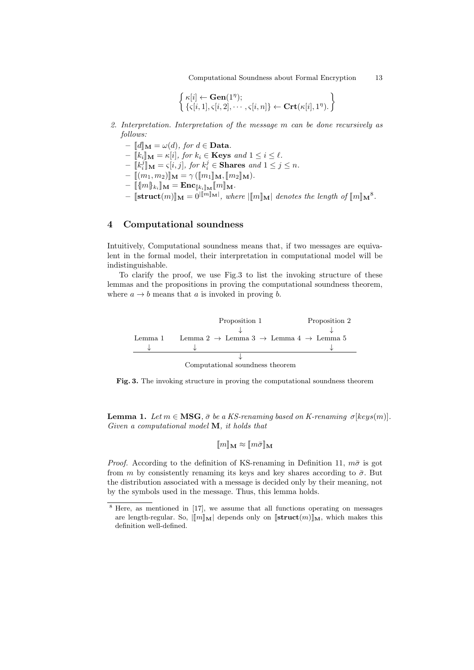Computational Soundness about Formal Encryption 13

$$
\left\{ \substack{\kappa[i] \leftarrow \mathbf{Gen}(1^{\eta}); \\ \{\varsigma[i, 1], \varsigma[i, 2], \cdots, \varsigma[i, n]\} \leftarrow \mathbf{Crt}(\kappa[i], 1^{\eta}). \right\}
$$

- 2. Interpretation. Interpretation of the message  $m$  can be done recursively as follows:
	- $\llbracket d \rrbracket_{\mathbf{M}} = \omega(d)$ , for  $d \in \mathbf{Data}$ .
	- $-\llbracket k_i \rrbracket_{\mathbf{M}} = \kappa[i],$  for  $k_i \in \mathbf{Keys}$  and  $1 \leq i \leq \ell$ .
	- $-\begin{bmatrix} [k_i]_{\mathbf{M}} = \varsigma[i,j], \text{ for } k_i^j \in \mathbf{Shares} \text{ and } 1 \leq j \leq n. \end{bmatrix}$
	- $\label{eq:reduced} \begin{aligned} &-\text{ }\llbracket(m_1, m_2)\rrbracket_{\mathbf{M}} = \gamma\left(\llbracket m_1\rrbracket_{\mathbf{M}}, \llbracket m_2\rrbracket_{\mathbf{M}}\right). \end{aligned}$
	- $-\;\llbracket \{\! \{m\}\!\}_{k_i} \rrbracket_{\mathbf{M}} = \mathbf{Enc}_{\llbracket k_i \rrbracket_{\mathbf{M}}} \llbracket m \rrbracket_{\mathbf{M}}.$
	- $-\;[\textbf{struct}(m)]_{\mathbf{M}}=0^{|\llbracket m\rrbracket_{\mathbf{M}}|},\text{ where }|\llbracket m\rrbracket_{\mathbf{M}}| \text{ denotes the length of } \llbracket m\rrbracket_{\mathbf{M}}^8.$

## 4 Computational soundness

Intuitively, Computational soundness means that, if two messages are equivalent in the formal model, their interpretation in computational model will be indistinguishable.

To clarify the proof, we use Fig.3 to list the invoking structure of these lemmas and the propositions in proving the computational soundness theorem, where  $a \rightarrow b$  means that a is invoked in proving b.

Proposition 1 Proposition 2 ↓ ↓ Lemma 1 Lemma 2  $\rightarrow$  Lemma 3  $\rightarrow$  Lemma 4  $\rightarrow$  Lemma 5 ↓ ↓ ↓ ↓ Computational soundness theorem

Fig. 3. The invoking structure in proving the computational soundness theorem

**Lemma 1.** Let  $m \in \text{MSG}$ ,  $\bar{\sigma}$  be a KS-renaming based on K-renaming  $\sigma[\text{keys}(m)]$ . Given a computational model M, it holds that

$$
[\![m]\!]_\mathbf{M} \approx [\![m\bar{\sigma}]\!]_\mathbf{M}
$$

*Proof.* According to the definition of KS-renaming in Definition 11,  $m\bar{\sigma}$  is got from  $m$  by consistently renaming its keys and key shares according to  $\bar{\sigma}$ . But the distribution associated with a message is decided only by their meaning, not by the symbols used in the message. Thus, this lemma holds.

 $8$  Here, as mentioned in [17], we assume that all functions operating on messages are length-regular. So,  $\|m\|_M$  depends only on  $[\text{struct}(m)]_M$ , which makes this definition well-defined.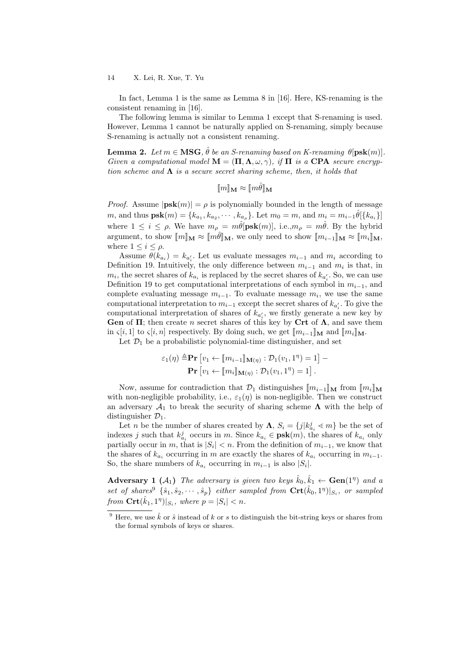In fact, Lemma 1 is the same as Lemma 8 in [16]. Here, KS-renaming is the consistent renaming in [16].

The following lemma is similar to Lemma 1 except that S-renaming is used. However, Lemma 1 cannot be naturally applied on S-renaming, simply because S-renaming is actually not a consistent renaming.

**Lemma 2.** Let  $m \in \mathbf{MSG}$ ,  $\hat{\theta}$  be an S-renaming based on K-renaming  $\theta[\mathbf{psk}(m)]$ . Given a computational model  $\mathbf{M} = (\mathbf{\Pi}, \mathbf{\Lambda}, \omega, \gamma)$ , if  $\mathbf{\Pi}$  is a CPA secure encryption scheme and  $\Lambda$  is a secure secret sharing scheme, then, it holds that

 $\llbracket m \rrbracket_M \approx \llbracket m \hat{\theta} \rrbracket_M$ 

*Proof.* Assume  $|\mathbf{psk}(m)| = \rho$  is polynomially bounded in the length of message m, and thus  $\mathbf{psk}(m) = \{k_{a_1}, k_{a_2}, \cdots, k_{a_p}\}$ . Let  $m_0 = m$ , and  $m_i = m_{i-1}\hat{\theta}[\{k_{a_i}\}]$ where  $1 \leq i \leq \rho$ . We have  $m_{\rho} = m\hat{\theta}[\mathbf{psk}(m)],$  i.e., $m_{\rho} = m\hat{\theta}$ . By the hybrid argument, to show  $\llbracket m \rrbracket_{\mathbf{M}} \approx \llbracket m \hat{\theta} \rrbracket_{\mathbf{M}}$ , we only need to show  $\llbracket m_{i-1} \rrbracket_{\mathbf{M}} \approx \llbracket m_i \rrbracket_{\mathbf{M}}$ , where  $1 \leq i \leq \rho$ .

Assume  $\theta(k_{a_i}) = k_{a'_i}$ . Let us evaluate messages  $m_{i-1}$  and  $m_i$  according to Definition 19. Intuitively, the only difference between  $m_{i-1}$  and  $m_i$  is that, in  $m_i$ , the secret shares of  $k_{a_i}$  is replaced by the secret shares of  $k_{a_i}$ . So, we can use Definition 19 to get computational interpretations of each symbol in  $m_{i-1}$ , and complete evaluating message  $m_{i-1}$ . To evaluate message  $m_i$ , we use the same computational interpretation to  $m_{i-1}$  except the secret shares of  $k_{a_i}$ . To give the computational interpretation of shares of  $k_{a'_{i}}$ , we firstly generate a new key by **Gen** of  $\Pi$ ; then create *n* secret shares of this key by Crt of  $\Lambda$ , and save them in  $\varsigma[i, 1]$  to  $\varsigma[i, n]$  respectively. By doing such, we get  $\|m_{i-1}\|_{\mathbf{M}}$  and  $\|m_i\|_{\mathbf{M}}$ .

Let  $\mathcal{D}_1$  be a probabilistic polynomial-time distinguisher, and set

$$
\varepsilon_1(\eta) \stackrel{\Delta}{=} \mathbf{Pr} \left[ v_1 \leftarrow [\![m_{i-1}]\!]_{\mathbf{M}(\eta)} : \mathcal{D}_1(v_1, 1^{\eta}) = 1 \right] - \mathbf{Pr} \left[ v_1 \leftarrow [\![m_i]\!]_{\mathbf{M}(\eta)} : \mathcal{D}_1(v_1, 1^{\eta}) = 1 \right].
$$

Now, assume for contradiction that  $\mathcal{D}_1$  distinguishes  $\llbracket m_{i-1} \rrbracket_{\mathbf{M}}$  from  $\llbracket m_i \rrbracket_{\mathbf{M}}$ with non-negligible probability, i.e.,  $\varepsilon_1(\eta)$  is non-negligible. Then we construct an adversary  $\mathcal{A}_1$  to break the security of sharing scheme  $\Lambda$  with the help of distinguisher  $\mathcal{D}_1$ .

Let *n* be the number of shares created by  $\Lambda$ ,  $S_i = \{j | k_{a_i}^j \le m\}$  be the set of indexes *j* such that  $k_{a_i}^j$  occurs in  $m$ . Since  $k_{a_i} \in \textbf{psk}(m)$ , the shares of  $k_{a_i}$  only partially occur in  $m$ , that is  $|S_i| < n$ . From the definition of  $m_{i-1}$ , we know that the shares of  $k_{a_i}$  occurring in m are exactly the shares of  $k_{a_i}$  occurring in  $m_{i-1}$ . So, the share numbers of  $k_{a_i}$  occurring in  $m_{i-1}$  is also  $|S_i|$ .

Adversary 1 ( $A_1$ ) The adversary is given two keys  $\hat{k}_0, \hat{k}_1 \leftarrow$  Gen(1<sup>n</sup>) and a set of shares  $\{\hat{s}_1, \hat{s}_2, \cdots, \hat{s}_p\}$  either sampled from  $\mathbf{Crt}(\hat{k}_0, 1^{\eta})|_{S_i}$ , or sampled from  $\mathbf{Crt}(\hat{k}_1, 1^{\eta})|_{S_i}$ , where  $p = |S_i| < n$ .

<sup>&</sup>lt;sup>9</sup> Here, we use  $\hat{k}$  or  $\hat{s}$  instead of  $k$  or  $s$  to distinguish the bit-string keys or shares from the formal symbols of keys or shares.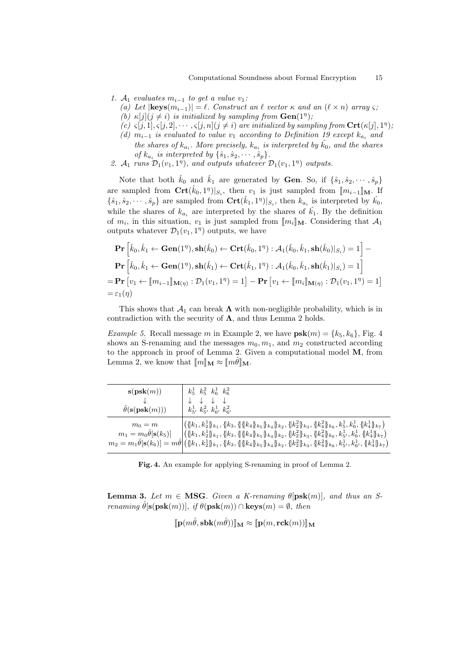1.  $A_1$  evaluates  $m_{i-1}$  to get a value  $v_1$ :

- (a) Let  $|\textbf{keys}(m_{i-1})| = \ell$ . Construct an  $\ell$  vector  $\kappa$  and an  $(\ell \times n)$  array  $\varsigma$ ;
- (b)  $\kappa[j](j \neq i)$  is initialized by sampling from  $Gen(1<sup>n</sup>)$ ;
- (c)  $\varsigma[j,1], \varsigma[j,2], \cdots, \varsigma[j,n]$  ( $j \neq i$ ) are initialized by sampling from  $\mathrm{Crt}(\kappa[j], 1^n)$ ,
- (d)  $m_{i-1}$  is evaluated to value  $v_1$  according to Definition 19 except  $k_{a_i}$  and the shares of  $k_{a_i}$ . More precisely,  $k_{a_i}$  is interpreted by  $\hat{k_0}$ , and the shares of  $k_{a_i}$  is interpreted by  $\{\hat{s}_1, \hat{s}_2, \cdots, \hat{s}_p\}$ .
- 2.  $\mathcal{A}_1$  runs  $\mathcal{D}_1(v_1, 1^{\eta})$ , and outputs whatever  $\mathcal{D}_1(v_1, 1^{\eta})$  outputs.

Note that both  $\hat{k}_0$  and  $\hat{k}_1$  are generated by **Gen**. So, if  $\{\hat{s}_1, \hat{s}_2, \dots, \hat{s}_p\}$ are sampled from  $\mathbf{Crt}(\hat{k}_0,1^n)|_{S_i}$ , then  $v_1$  is just sampled from  $[\![m_{i-1}]\!]_{\mathbf{M}}$ . If  $\{\hat{s}_1, \hat{s}_2, \cdots, \hat{s}_p\}$  are sampled from  $\mathbf{Crt}(\hat{k}_1, 1^{\eta})|_{S_i}$ , then  $k_{a_i}$  is interpreted by  $\hat{k_0}$ , while the shares of  $k_{a_i}$  are interpreted by the shares of  $k_1$ . By the definition of  $m_i$ , in this situation,  $v_1$  is just sampled from  $[\![m_i]\!]_M$ . Considering that  $\mathcal{A}_1$ <br>outputs whatever  $\mathcal{D}_i(v_1, 1^n)$  outputs we have outputs whatever  $\mathcal{D}_1(v_1, 1^{\eta})$  outputs, we have

$$
\mathbf{Pr}\left[\hat{k}_0, \hat{k}_1 \leftarrow \mathbf{Gen}(1^{\eta}), \mathbf{sh}(\hat{k}_0) \leftarrow \mathbf{Crt}(\hat{k}_0, 1^{\eta}) : \mathcal{A}_1(\hat{k}_0, \hat{k}_1, \mathbf{sh}(\hat{k}_0)|_{S_i}) = 1\right] - \n\mathbf{Pr}\left[\hat{k}_0, \hat{k}_1 \leftarrow \mathbf{Gen}(1^{\eta}), \mathbf{sh}(\hat{k}_1) \leftarrow \mathbf{Crt}(\hat{k}_1, 1^{\eta}) : \mathcal{A}_1(\hat{k}_0, \hat{k}_1, \mathbf{sh}(\hat{k}_1)|_{S_i}) = 1\right] \\
= \mathbf{Pr}\left[v_1 \leftarrow [m_{i-1}]\right]_{\mathbf{M}(\eta)} : \mathcal{D}_1(v_1, 1^{\eta}) = 1\right] - \mathbf{Pr}\left[v_1 \leftarrow [m_i]\right]_{\mathbf{M}(\eta)} : \mathcal{D}_1(v_1, 1^{\eta}) = 1\right] \\
= \varepsilon_1(\eta)
$$

This shows that  $\mathcal{A}_1$  can break  $\Lambda$  with non-negligible probability, which is in contradiction with the security of  $\Lambda$ , and thus Lemma 2 holds.

*Example 5.* Recall message m in Example 2, we have  $psk(m) = \{k_5, k_6\}$ , Fig. 4 shows an S-renaming and the messages  $m_0, m_1$ , and  $m_2$  constructed according to the approach in proof of Lemma 2. Given a computational model M, from Lemma 2, we know that  $\llbracket m \rrbracket_{\mathbf{M}} \approx \llbracket m \hat{\theta} \rrbracket_{\mathbf{M}}$ .

| $s(\mathbf{psk}(m))$                                | $k_5^1$ $k_5^2$ $k_6^1$ $k_6^2$                                                                                                                                                                                                                                                                                                                                                                                                                                                                                                                      |
|-----------------------------------------------------|------------------------------------------------------------------------------------------------------------------------------------------------------------------------------------------------------------------------------------------------------------------------------------------------------------------------------------------------------------------------------------------------------------------------------------------------------------------------------------------------------------------------------------------------------|
| $\hat{\theta}(\mathbf{s}(\mathbf{psk}(m)))$         | $k_{5}^{1}$ , $k_{5}^{2}$ , $k_{6}^{1}$ , $k_{6}^{2}$                                                                                                                                                                                                                                                                                                                                                                                                                                                                                                |
| $m_0 = m$<br>$m_1=m_0\hat{\theta}[\mathbf{s}(k_5)]$ | $\left( \{ [k_1, k_2^1] \}_{k_1}, \{ [k_3, \{\{ k_4\} _{k_5} \}_{k_4} \}_{k_2}, \{ [k_2^2] \}_{k_3}, \{ [k_4^2] \}_{k_6}, k_5^1, k_6^1, \{ [k_4^1] \}_{k_7} \right)$<br>$\left  \left( \{\{k_1,k_2^1\}_{k_1}, \{k_3,\{\{\{k_4\}\}_{k_5}\}_{k_4} \}_{k_2}, \{\{k_2^2\}_{k_3}, \{k_4^2\}_{k_6}, k_5^1, k_6^1, \{\{k_4^1\}_{k_7}\} \right. \right $<br>$m_2 = m_1 \hat{\theta}[\mathbf{s}(k_6)] = m \hat{\theta} \Big  (\{k_1, k_2^1\}_{k_1}, \{k_3, \{\{k_4\}_{k_5}\}_{k_4}\}_{k_2}, \{k_2^2\}_{k_3}, \{k_4^2\}_{k_6}, k_5^1, k_6^1, \{k_4^1\}_{k_7})$ |

Fig. 4. An example for applying S-renaming in proof of Lemma 2.

**Lemma 3.** Let  $m \in \text{MSG}$ . Given a K-renaming  $\theta[\text{psk}(m)]$ , and thus an Srenaming  $\hat{\theta}[\mathbf{s}(\mathbf{psk}(m))]$ , if  $\theta(\mathbf{psk}(m)) \cap \mathbf{keys}(m) = \emptyset$ , then

$$
[\![\mathbf{p}(m\hat{\theta},\mathbf{sbk}(m\hat{\theta}))]\!]_{\mathbf{M}} \approx [\![\mathbf{p}(m,\mathbf{rck}(m))]]\!]_{\mathbf{M}}
$$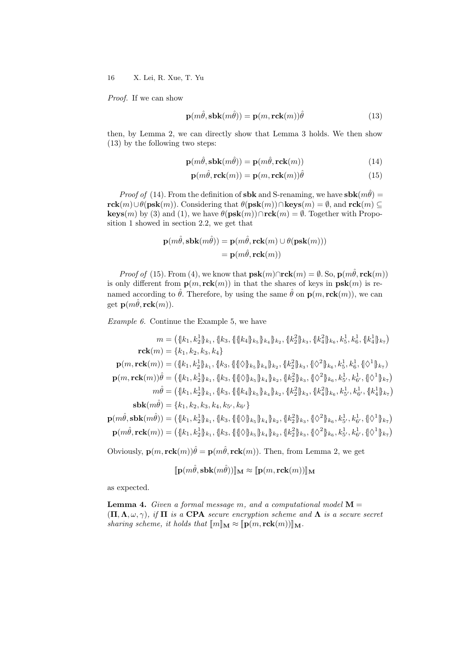Proof. If we can show

$$
\mathbf{p}(m\hat{\theta}, \mathbf{sbk}(m\hat{\theta})) = \mathbf{p}(m, \mathbf{rck}(m))\hat{\theta}
$$
\n(13)

then, by Lemma 2, we can directly show that Lemma 3 holds. We then show (13) by the following two steps:

$$
\mathbf{p}(m\hat{\theta}, \mathbf{sbk}(m\hat{\theta})) = \mathbf{p}(m\hat{\theta}, \mathbf{rck}(m))
$$
\n(14)

$$
\mathbf{p}(m\hat{\theta}, \mathbf{rck}(m)) = \mathbf{p}(m, \mathbf{rck}(m))\hat{\theta}
$$
 (15)

*Proof of* (14). From the definition of **sbk** and S-renaming, we have **sbk** $(m\hat{\theta})$  =  $rck(m) \cup \theta(psk(m))$ . Considering that  $\theta(psk(m)) \cap keys(m) = \emptyset$ , and  $rck(m) \subseteq$ keys(m) by (3) and (1), we have  $\theta(\mathbf{psk}(m)) \cap \mathbf{rck}(m) = \emptyset$ . Together with Proposition 1 showed in section 2.2, we get that

$$
\mathbf{p}(m\hat{\theta}, \mathbf{sbk}(m\hat{\theta})) = \mathbf{p}(m\hat{\theta}, \mathbf{rck}(m) \cup \theta(\mathbf{psk}(m)))
$$

$$
= \mathbf{p}(m\hat{\theta}, \mathbf{rck}(m))
$$

*Proof of* (15). From (4), we know that  $psk(m) \cap \text{rck}(m) = \emptyset$ . So,  $p(m\hat{\theta}, \text{rck}(m))$ is only different from  $p(m, rck(m))$  in that the shares of keys in  $psk(m)$  is renamed according to  $\hat{\theta}$ . Therefore, by using the same  $\hat{\theta}$  on  $\mathbf{p}(m, \mathbf{rck}(m))$ , we can get  $\mathbf{p}(m\hat{\theta}, \text{rck}(m)).$ 

Example 6. Continue the Example 5, we have

$$
m = (\{k_1, k_2\} k_1, \{k_3, \{\{\{k_4\} k_5\} k_4\} k_2, \{\{k_2^2\} k_3, \{\{k_4^2\} k_6, k_5^1, k_6^1, \{k_4^1\} k_7\})
$$
  
\n
$$
\mathbf{rck}(m) = \{k_1, k_2, k_3, k_4\}
$$
  
\n
$$
\mathbf{p}(m, \mathbf{rck}(m)) = (\{k_1, k_2^1\} k_1, \{k_3, \{\{\{\}\}\} k_5\} k_4\} k_2, \{k_2^2\} k_3, \{\{\Diamond^2\} k_6, k_5^1, k_6^1, \{\Diamond^1\} k_7\})
$$
  
\n
$$
\mathbf{p}(m, \mathbf{rck}(m))\hat{\theta} = (\{k_1, k_2^1\} k_1, \{k_3, \{\{\{\Diamond\}\} k_5\} k_4\} k_2, \{k_2^2\} k_3, \{\Diamond^2\} k_6, k_5^1, k_6^1, \{\Diamond^1\} k_7)
$$
  
\n
$$
m\hat{\theta} = (\{k_1, k_2^1\} k_1, \{k_3, \{\{\{\Diamond\}\} k_5\} k_4\} k_2, \{k_2^2\} k_3, \{\Diamond^2\} k_6, k_5^1, k_6^1, \{\Diamond^1\} k_7)
$$
  
\n
$$
m\hat{\theta} = (\{k_1, k_2^1\} k_1, \{k_3, \{\{\{\Diamond\}\} k_5\} k_4\} k_2, \{k_2^2\} k_3, \{k_4^2\} k_6, k_5^1, k_6^1, \{k_4^1\} k_7)
$$
  
\n
$$
\mathbf{sbk}(m\hat{\theta}) = \{k_1, k_2, k_3, k_4, k_5^1, k_6^1\}
$$
  
\n
$$
\mathbf{p}(m\hat{\theta}, \mathbf{sbk}(m\hat{\theta})) = (\{k_1, k_2^1\} k_1, \{k_3, \{\{\Diamond\}\} k_5\} k_4\} k_2, \{k_2^2\} k_3,
$$

Obviously,  $\mathbf{p}(m, \mathbf{rck}(m))\hat{\theta} = \mathbf{p}(m\hat{\theta}, \mathbf{rck}(m))$ . Then, from Lemma 2, we get

$$
[\![\mathbf{p}(m\hat{\theta},\mathbf{sbk}(m\hat{\theta}))]\!]_{\mathbf{M}} \approx [\![\mathbf{p}(m,\mathbf{rck}(m))] ]\!]_{\mathbf{M}}
$$

as expected.

**Lemma 4.** Given a formal message m, and a computational model  $M =$  $(\Pi, \Lambda, \omega, \gamma)$ , if  $\Pi$  is a CPA secure encryption scheme and  $\Lambda$  is a secure secret sharing scheme, it holds that  $\llbracket m \rrbracket_{\mathbf{M}} \approx \llbracket \mathbf{p}(m, \mathbf{rck}(m)) \rrbracket_{\mathbf{M}}$ .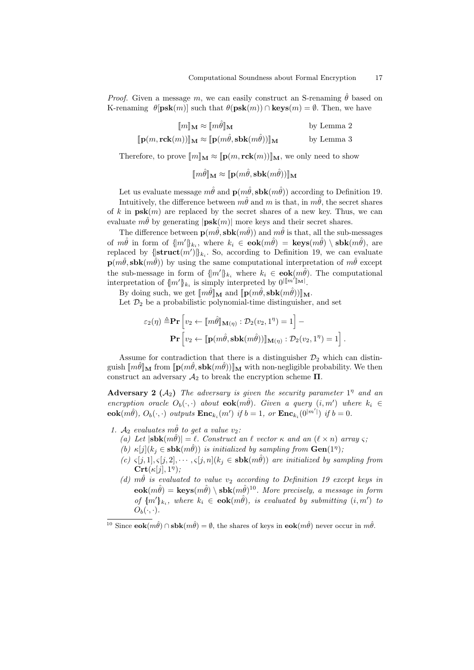*Proof.* Given a message m, we can easily construct an S-renaming  $\hat{\theta}$  based on K-renaming  $\theta$ [psk(m)] such that  $\theta$ (psk(m)) ∩ keys(m) =  $\emptyset$ . Then, we have

$$
\llbracket m \rrbracket_{\mathbf{M}} \approx \llbracket m \hat{\theta} \rrbracket_{\mathbf{M}} \qquad \qquad \text{by Lemma 2}
$$
\n
$$
\llbracket \mathbf{p}(m, \mathbf{rck}(m)) \rrbracket_{\mathbf{M}} \approx \llbracket \mathbf{p}(m \hat{\theta}, \mathbf{sbk}(m \hat{\theta})) \rrbracket_{\mathbf{M}} \qquad \qquad \text{by Lemma 3}
$$

Therefore, to prove  $\llbracket m \rrbracket_{\mathbf{M}} \approx \llbracket \mathbf{p}(m, \mathbf{rck}(m)) \rrbracket_{\mathbf{M}}$ , we only need to show

 $\llbracket m\hat{\theta} \rrbracket_{\mathbf{M}} \approx \llbracket \mathbf{p}(m\hat{\theta}, \mathbf{sbk}(m\hat{\theta})) \rrbracket_{\mathbf{M}}$ 

Let us evaluate message  $m\hat{\theta}$  and  $\mathbf{p}(m\hat{\theta}, s\mathbf{bk}(m\hat{\theta}))$  according to Definition 19. Intuitively, the difference between  $m\hat{\theta}$  and  $m$  is that, in  $m\hat{\theta}$ , the secret shares of k in  $psk(m)$  are replaced by the secret shares of a new key. Thus, we can evaluate  $m\hat{\theta}$  by generating  $|\mathbf{psk}(m)|$  more keys and their secret shares.

The difference between  $p(m\hat{\theta}, s b k(m\hat{\theta}))$  and  $m\hat{\theta}$  is that, all the sub-messages of  $m\hat{\theta}$  in form of  $\{m'\}_{k_i}$ , where  $k_i \in \mathbf{eok}(m\hat{\theta}) = \mathbf{keys}(m\hat{\theta}) \setminus \mathbf{sbk}(m\hat{\theta})$ , are replaced by  $\{\text{struct}(m')\}_{k_i}$ . So, according to Definition 19, we can evaluate  $p(m\hat{\theta}, s b k(m\hat{\theta}))$  by using the same computational interpretation of  $m\hat{\theta}$  except the sub-message in form of  $\{m'\}_{k_i}$  where  $k_i \in \mathbf{eok}(m\hat{\theta})$ . The computational interpretation of  $\{m'\}_{k_i}$  is simply interpreted by  $0^{\lfloor m'\rfloor_{\mathbf{M}}\rfloor}$ .

By doing such, we get  $\llbracket m\hat{\theta} \rrbracket_{\mathbf{M}}$  and  $\llbracket \mathbf{p}(m\hat{\theta}, \mathbf{sbk}(m\hat{\theta})) \rrbracket_{\mathbf{M}}$ .

Let  $\mathcal{D}_2$  be a probabilistic polynomial-time distinguisher, and set

$$
\varepsilon_2(\eta) \triangleq \mathbf{Pr} \left[ v_2 \leftarrow [\![m\hat{\theta}]\!]_{\mathbf{M}(\eta)} : \mathcal{D}_2(v_2, 1^{\eta}) = 1 \right] -
$$

$$
\mathbf{Pr} \left[ v_2 \leftarrow [\![\mathbf{p}(m\hat{\theta}, \mathbf{sbk}(m\hat{\theta}))]\!]_{\mathbf{M}(\eta)} : \mathcal{D}_2(v_2, 1^{\eta}) = 1 \right].
$$

Assume for contradiction that there is a distinguisher  $\mathcal{D}_2$  which can distinguish  $\llbracket m\theta \rrbracket_{\mathbf{M}}$  from  $\llbracket \mathbf{p}(m\theta, \mathbf{sbk}(m\theta)) \rrbracket_{\mathbf{M}}$  with non-negligible probability. We then construct an adversary  $\mathcal{A}_2$  to break the encryption scheme  $\Pi$ .

Adversary 2  $(A_2)$  The adversary is given the security parameter  $1<sup>\eta</sup>$  and an encryption oracle  $O_b(\cdot, \cdot)$  about  $\mathbf{eok}(m\hat{\theta})$ . Given a query  $(i, m')$  where  $k_i \in$  $\mathbf{eok}(m\hat{\theta}), O_b(\cdot, \cdot)$  outputs  $\mathbf{Enc}_{k_i}(m')$  if  $b = 1$ , or  $\mathbf{Enc}_{k_i}(0^{|m'|})$  if  $b = 0$ .

- 1.  $A_2$  evaluates  $m\hat{\theta}$  to get a value  $v_2$ :
	- (a) Let  $|\mathbf{sbk}(m\hat{\theta})| = \ell$ . Construct an  $\ell$  vector  $\kappa$  and an  $(\ell \times n)$  array  $\varsigma$ ;
	- (b)  $\kappa[j](k_j \in \mathbf{sbk}(m\hat{\theta}))$  is initialized by sampling from  $\mathbf{Gen}(1^{\eta})$ ;
	- (c)  $\varsigma[j, 1], \varsigma[j, 2], \cdots, \varsigma[j, n](k_j \in \mathbf{sbk}(m\hat{\theta}))$  are initialized by sampling from  $\mathbf{Crt}(\kappa[j], 1^{\eta});$
	- (d)  $m\hat{\theta}$  is evaluated to value  $v_2$  according to Definition 19 except keys in  $e$ **ok** $(m\hat{\theta}) = \textbf{keys}(m\hat{\theta}) \setminus \textbf{sbk}(m\hat{\theta})^{10}$ . More precisely, a message in form of  ${m' \}_{k_i}$ , where  $k_i \in \mathbf{eok}(m\hat{\theta})$ , is evaluated by submitting  $(i, m')$  to  $O_b(\cdot, \cdot)$ .

<sup>&</sup>lt;sup>10</sup> Since  $\mathbf{eok}(m\hat{\theta}) \cap \mathbf{sbk}(m\hat{\theta}) = \emptyset$ , the shares of keys in  $\mathbf{eok}(m\hat{\theta})$  never occur in  $m\hat{\theta}$ .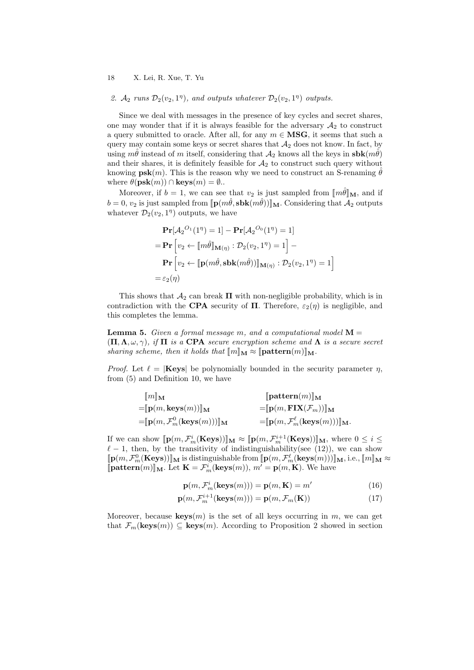## 2.  $A_2$  runs  $\mathcal{D}_2(v_2, 1^{\eta})$ , and outputs whatever  $\mathcal{D}_2(v_2, 1^{\eta})$  outputs.

Since we deal with messages in the presence of key cycles and secret shares, one may wonder that if it is always feasible for the adversary  $A_2$  to construct a query submitted to oracle. After all, for any  $m \in \text{MSG}$ , it seems that such a query may contain some keys or secret shares that  $A_2$  does not know. In fact, by using  $m\hat{\theta}$  instead of m itself, considering that  $\mathcal{A}_2$  knows all the keys in  $\textbf{sbk}(m\hat{\theta})$ and their shares, it is definitely feasible for  $A_2$  to construct such query without knowing  $psk(m)$ . This is the reason why we need to construct an S-renaming  $\hat{\theta}$ where  $\theta(\mathbf{psk}(m)) \cap \mathbf{keys}(m) = \emptyset$ ..

Moreover, if  $b = 1$ , we can see that  $v_2$  is just sampled from  $\llbracket m\theta \rrbracket_M$ , and if  $b = 0$ ,  $v_2$  is just sampled from  $[\![\mathbf{p}(m\theta,\mathbf{sbk}(m\theta))]_{\mathbf{M}}$ . Considering that  $\mathcal{A}_2$  outputs whatever  $\mathcal{D}_2(v_2, 1^{\eta})$  outputs, we have

$$
\begin{aligned}\n\mathbf{Pr}[A_2^{O_1}(1^n) = 1] - \mathbf{Pr}[A_2^{O_0}(1^n) = 1] \\
&= \mathbf{Pr}\left[v_2 \leftarrow [\![m\hat{\theta}]\!]_{\mathbf{M}(\eta)} : \mathcal{D}_2(v_2, 1^\eta) = 1\right] - \\
\mathbf{Pr}\left[v_2 \leftarrow [\![\mathbf{p}(m\hat{\theta}, \mathbf{sbk}(m\hat{\theta}))]\!]_{\mathbf{M}(\eta)} : \mathcal{D}_2(v_2, 1^\eta) = 1\right] \\
&= \varepsilon_2(\eta)\n\end{aligned}
$$

This shows that  $\mathcal{A}_2$  can break  $\Pi$  with non-negligible probability, which is in contradiction with the **CPA** security of  $\Pi$ . Therefore,  $\varepsilon_2(\eta)$  is negligible, and this completes the lemma.

**Lemma 5.** Given a formal message m, and a computational model  $M =$  $(\Pi, \Lambda, \omega, \gamma)$ , if  $\Pi$  is a CPA secure encryption scheme and  $\Lambda$  is a secure secret sharing scheme, then it holds that  $[\![m]\!]_M \approx [\![ \text{pattern}(m)]\!]_M$ .

*Proof.* Let  $\ell = |K \text{eys}|$  be polynomially bounded in the security parameter  $\eta$ , from (5) and Definition 10, we have

$$
\begin{aligned}\n[m]\mathbb{M} \qquad & \qquad [\mathbf{pattern}(m)]_{\mathbf{M}} \\
= & \mathbb{[p(m, keys(m))]_{\mathbf{M}} \\
= & \mathbb{[p(m, Fix(\mathcal{F}_m))]_{\mathbf{M}} \\
= & \mathbb{[p(m, \mathcal{F}_m^0(\mathbf{keys}(m)))]_{\mathbf{M}} \\
= & \mathbb{[p(m, \mathcal{F}_m^{\ell}(\mathbf{keys}(m)))]_{\mathbf{M}}.\n\end{aligned}
$$

If we can show  $[\![\mathbf{p}(m, \mathcal{F}_m^i(\textbf{Keys}))]\!]_{\mathbf{M}} \approx [\![\mathbf{p}(m, \mathcal{F}_m^{i+1}(\textbf{Keys}))]\!]_{\mathbf{M}}$ , where  $0 \leq i \leq$  $\ell-1$ , then, by the transitivity of indistinguishability(see (12)), we can show  $[\![\mathbf{p}(m,\mathcal{F}_{m}^{\theta}(\mathbf{Keys}))]\!]_{\mathbf{M}}$  is distinguishable from  $[\![\mathbf{p}(m,\mathcal{F}_{m}^{\theta}(\mathbf{keys}(m)))\!]_{\mathbf{M}},$  i.e.,  $[\![m]\!]_{\mathbf{M}} \approx$  $[\textbf{pattern}(m)]_M$ . Let  $\mathbf{K} = \mathcal{F}_m^i(\textbf{keys}(m)), m' = \mathbf{p}(m, \mathbf{K})$ . We have

$$
\mathbf{p}(m, \mathcal{F}_m^i(\mathbf{keys}(m))) = \mathbf{p}(m, \mathbf{K}) = m'
$$
 (16)

$$
\mathbf{p}(m, \mathcal{F}_m^{i+1}(\mathbf{keys}(m))) = \mathbf{p}(m, \mathcal{F}_m(\mathbf{K}))
$$
\n(17)

Moreover, because  $\mathbf{keys}(m)$  is the set of all keys occurring in  $m$ , we can get that  $\mathcal{F}_m(\mathbf{keys}(m)) \subseteq \mathbf{keys}(m)$ . According to Proposition 2 showed in section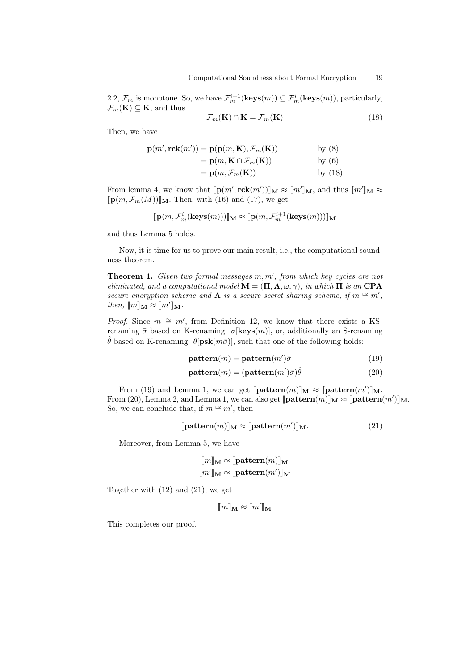2.2,  $\mathcal{F}_m$  is monotone. So, we have  $\mathcal{F}_m^{i+1}(\textbf{keys}(m)) \subseteq \mathcal{F}_m^i(\textbf{keys}(m))$ , particularly,  $\mathcal{F}_m(\mathbf{K}) \subseteq \mathbf{K}$ , and thus

$$
\mathcal{F}_m(\mathbf{K}) \cap \mathbf{K} = \mathcal{F}_m(\mathbf{K}) \tag{18}
$$

Then, we have

$$
\mathbf{p}(m', \mathbf{rck}(m')) = \mathbf{p}(\mathbf{p}(m, \mathbf{K}), \mathcal{F}_m(\mathbf{K})) \qquad \text{by (8)}
$$
  
=  $\mathbf{p}(m, \mathbf{K} \cap \mathcal{F}_m(\mathbf{K})) \qquad \text{by (6)}$   
=  $\mathbf{p}(m, \mathcal{F}_m(\mathbf{K})) \qquad \text{by (18)}$ 

From lemma 4, we know that  $[\![\mathbf{p}(m', \mathbf{rck}(m'))]\!]_{\mathbf{M}} \approx [\![m']\!]_{\mathbf{M}}$ , and thus  $[\![m']\!]_{\mathbf{M}} \approx$  $[\![\mathbf{p}(m,\mathcal{F}_m(M))] \!]$ <sub>M</sub>. Then, with (16) and (17), we get

$$
[\![\mathbf{p}(m,\mathcal{F}_m^i(\mathbf{keys}(m)))]\!]_\mathbf{M} \approx [\![\mathbf{p}(m,\mathcal{F}_m^{i+1}(\mathbf{keys}(m)))]\!]_\mathbf{M}
$$

and thus Lemma 5 holds.

Now, it is time for us to prove our main result, i.e., the computational soundness theorem.

**Theorem 1.** Given two formal messages  $m, m'$ , from which key cycles are not eliminated, and a computational model  $\mathbf{M} = (\mathbf{\Pi}, \mathbf{\Lambda}, \omega, \gamma)$ , in which  $\mathbf{\Pi}$  is an CPA secure encryption scheme and  $\Lambda$  is a secure secret sharing scheme, if  $m \cong m'$ , then,  $\llbracket m \rrbracket_{\mathbf{M}} \approx \llbracket m' \rrbracket_{\mathbf{M}}.$ 

*Proof.* Since  $m \cong m'$ , from Definition 12, we know that there exists a KSrenaming  $\bar{\sigma}$  based on K-renaming  $\sigma$ [**keys** $(m)$ ], or, additionally an S-renaming  $\hat{\theta}$  based on K-renaming  $\theta$ [psk $(m\bar{\sigma})$ ], such that one of the following holds:

$$
pattern(m) = pattern(m')\bar{\sigma}
$$
 (19)

$$
pattern(m) = (pattern(m')\bar{\sigma})\hat{\theta}
$$
 (20)

From (19) and Lemma 1, we can get  $[\textbf{pattern}(m)]_{\mathbf{M}} \approx [\textbf{pattern}(m')]_{\mathbf{M}}$ . From (20), Lemma 2, and Lemma 1, we can also get  $[\textbf{pattern}(m)]_{\mathbf{M}} \approx [\textbf{pattern}(m')]_{\mathbf{M}}$ .<br>So, we can conclude that, if  $m \approx m'$ , then So, we can conclude that, if  $m \cong m'$ , then

$$
[\textbf{pattern}(m)]_{\mathbf{M}} \approx [\textbf{pattern}(m')]_{\mathbf{M}}.\tag{21}
$$

Moreover, from Lemma 5, we have

$$
[\![m]\!]_{\mathbf{M}} \approx [\![ \mathbf{pattern}(m)]\!]_{\mathbf{M}}
$$

$$
[\![m']\!]_{\mathbf{M}} \approx [\![ \mathbf{pattern}(m')]\!]_{\mathbf{M}}
$$

Together with (12) and (21), we get

$$
[\![m]\!]_\mathbf{M} \approx [\![m']\!]_\mathbf{M}
$$

This completes our proof.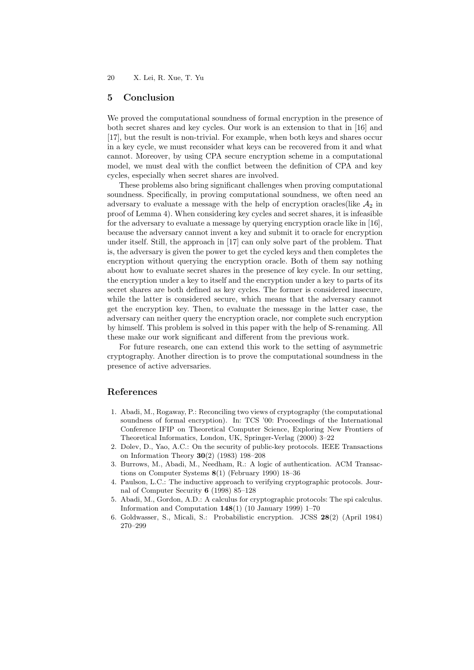## 5 Conclusion

We proved the computational soundness of formal encryption in the presence of both secret shares and key cycles. Our work is an extension to that in [16] and [17], but the result is non-trivial. For example, when both keys and shares occur in a key cycle, we must reconsider what keys can be recovered from it and what cannot. Moreover, by using CPA secure encryption scheme in a computational model, we must deal with the conflict between the definition of CPA and key cycles, especially when secret shares are involved.

These problems also bring significant challenges when proving computational soundness. Specifically, in proving computational soundness, we often need an adversary to evaluate a message with the help of encryption oracles(like  $A_2$  in proof of Lemma 4). When considering key cycles and secret shares, it is infeasible for the adversary to evaluate a message by querying encryption oracle like in [16], because the adversary cannot invent a key and submit it to oracle for encryption under itself. Still, the approach in [17] can only solve part of the problem. That is, the adversary is given the power to get the cycled keys and then completes the encryption without querying the encryption oracle. Both of them say nothing about how to evaluate secret shares in the presence of key cycle. In our setting, the encryption under a key to itself and the encryption under a key to parts of its secret shares are both defined as key cycles. The former is considered insecure, while the latter is considered secure, which means that the adversary cannot get the encryption key. Then, to evaluate the message in the latter case, the adversary can neither query the encryption oracle, nor complete such encryption by himself. This problem is solved in this paper with the help of S-renaming. All these make our work significant and different from the previous work.

For future research, one can extend this work to the setting of asymmetric cryptography. Another direction is to prove the computational soundness in the presence of active adversaries.

## References

- 1. Abadi, M., Rogaway, P.: Reconciling two views of cryptography (the computational soundness of formal encryption). In: TCS '00: Proceedings of the International Conference IFIP on Theoretical Computer Science, Exploring New Frontiers of Theoretical Informatics, London, UK, Springer-Verlag (2000) 3–22
- 2. Dolev, D., Yao, A.C.: On the security of public-key protocols. IEEE Transactions on Information Theory 30(2) (1983) 198–208
- 3. Burrows, M., Abadi, M., Needham, R.: A logic of authentication. ACM Transactions on Computer Systems 8(1) (February 1990) 18–36
- 4. Paulson, L.C.: The inductive approach to verifying cryptographic protocols. Journal of Computer Security 6 (1998) 85–128
- 5. Abadi, M., Gordon, A.D.: A calculus for cryptographic protocols: The spi calculus. Information and Computation  $148(1)$  (10 January 1999) 1–70
- 6. Goldwasser, S., Micali, S.: Probabilistic encryption. JCSS 28(2) (April 1984) 270–299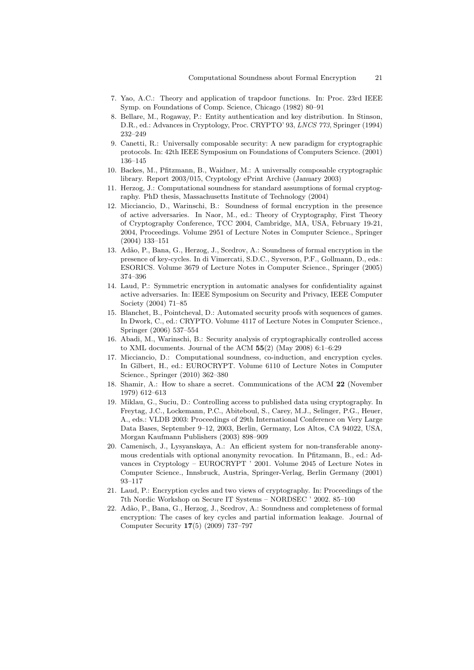- 7. Yao, A.C.: Theory and application of trapdoor functions. In: Proc. 23rd IEEE Symp. on Foundations of Comp. Science, Chicago (1982) 80–91
- 8. Bellare, M., Rogaway, P.: Entity authentication and key distribution. In Stinson, D.R., ed.: Advances in Cryptology, Proc. CRYPTO' 93, LNCS 773, Springer (1994) 232–249
- 9. Canetti, R.: Universally composable security: A new paradigm for cryptographic protocols. In: 42th IEEE Symposium on Foundations of Computers Science. (2001) 136–145
- 10. Backes, M., Pfitzmann, B., Waidner, M.: A universally composable cryptographic library. Report 2003/015, Cryptology ePrint Archive (January 2003)
- 11. Herzog, J.: Computational soundness for standard assumptions of formal cryptography. PhD thesis, Massachusetts Institute of Technology (2004)
- 12. Micciancio, D., Warinschi, B.: Soundness of formal encryption in the presence of active adversaries. In Naor, M., ed.: Theory of Cryptography, First Theory of Cryptography Conference, TCC 2004, Cambridge, MA, USA, February 19-21, 2004, Proceedings. Volume 2951 of Lecture Notes in Computer Science., Springer (2004) 133–151
- 13. Ad˜ao, P., Bana, G., Herzog, J., Scedrov, A.: Soundness of formal encryption in the presence of key-cycles. In di Vimercati, S.D.C., Syverson, P.F., Gollmann, D., eds.: ESORICS. Volume 3679 of Lecture Notes in Computer Science., Springer (2005) 374–396
- 14. Laud, P.: Symmetric encryption in automatic analyses for confidentiality against active adversaries. In: IEEE Symposium on Security and Privacy, IEEE Computer Society (2004) 71–85
- 15. Blanchet, B., Pointcheval, D.: Automated security proofs with sequences of games. In Dwork, C., ed.: CRYPTO. Volume 4117 of Lecture Notes in Computer Science., Springer (2006) 537–554
- 16. Abadi, M., Warinschi, B.: Security analysis of cryptographically controlled access to XML documents. Journal of the ACM  $55(2)$  (May 2008) 6:1-6:29
- 17. Micciancio, D.: Computational soundness, co-induction, and encryption cycles. In Gilbert, H., ed.: EUROCRYPT. Volume 6110 of Lecture Notes in Computer Science., Springer (2010) 362–380
- 18. Shamir, A.: How to share a secret. Communications of the ACM 22 (November 1979) 612–613
- 19. Miklau, G., Suciu, D.: Controlling access to published data using cryptography. In Freytag, J.C., Lockemann, P.C., Abiteboul, S., Carey, M.J., Selinger, P.G., Heuer, A., eds.: VLDB 2003: Proceedings of 29th International Conference on Very Large Data Bases, September 9–12, 2003, Berlin, Germany, Los Altos, CA 94022, USA, Morgan Kaufmann Publishers (2003) 898–909
- 20. Camenisch, J., Lysyanskaya, A.: An efficient system for non-transferable anonymous credentials with optional anonymity revocation. In Pfitzmann, B., ed.: Advances in Cryptology – EUROCRYPT ' 2001. Volume 2045 of Lecture Notes in Computer Science., Innsbruck, Austria, Springer-Verlag, Berlin Germany (2001) 93–117
- 21. Laud, P.: Encryption cycles and two views of cryptography. In: Proceedings of the 7th Nordic Workshop on Secure IT Systems – NORDSEC ' 2002. 85–100
- 22. Ad˜ao, P., Bana, G., Herzog, J., Scedrov, A.: Soundness and completeness of formal encryption: The cases of key cycles and partial information leakage. Journal of Computer Security 17(5) (2009) 737–797